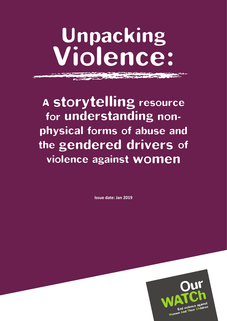# Unpacking Violence:

A storytelling resource for understanding nonphysical forms of abuse and the gendered drivers of violence against women

**Issue date: Jan 2019**

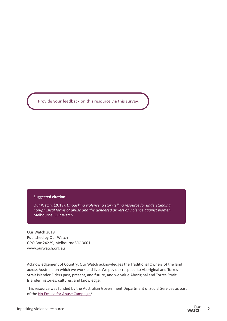Provide your feedback on this resource via this survey.

#### **Suggested citation:**

Our Watch. (2019). *Unpacking violence: a storytelling resource for understanding non-physical forms of abuse and the gendered drivers of violence against women.* Melbourne: Our Watch

Our Watch 2019 Published by Our Watch GPO Box 24229, Melbourne VIC 3001 [www.ourwatch.org.au](http://www.ourwatch.org.au)

Acknowledgement of Country: Our Watch acknowledges the Traditional Owners of the land across Australia on which we work and live. We pay our respects to Aboriginal and Torres Strait Islander Elders past, present, and future, and we value Aboriginal and Torres Strait Islander histories, cultures, and knowledge.

This resource was funded by the Australian Government Department of Social Services as part of the No Excuse for Abuse Campaign<sup>1</sup>.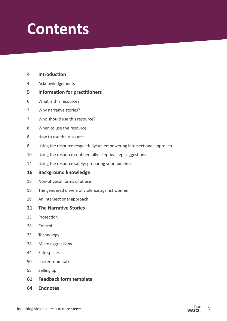## **Contents**

**Introduction**

| 4  | Acknowledgements                                                       |
|----|------------------------------------------------------------------------|
| 5  | <b>Information for practitioners</b>                                   |
| 6  | What is this resource?                                                 |
| 7  | Why narrative stories?                                                 |
| 7  | Who should use this resource?                                          |
| 8  | When to use the resource                                               |
| 8  | How to use the resource                                                |
| 8  | Using the resource respectfully: an empowering intersectional approach |
| 10 | Using the resource confidentally: step-by-step suggestions             |
| 14 | Using the resource safely: preparing your audience                     |
| 16 | <b>Background knowledge</b>                                            |
| 18 | Non-physical forms of abuse                                            |
| 18 | The gendered drivers of violence against women                         |
| 19 | An intersectional approach                                             |
| 21 | <b>The Narrative Stories</b>                                           |
| 23 | Protection                                                             |
| 28 | Control                                                                |
| 33 | Technology                                                             |
| 38 | Micro aggressions                                                      |
| 44 | Safe spaces                                                            |
| 50 | Locker room talk                                                       |
| 55 | Selling up                                                             |
| 61 | <b>Feedback form template</b>                                          |
| 64 | <b>Endnotes</b>                                                        |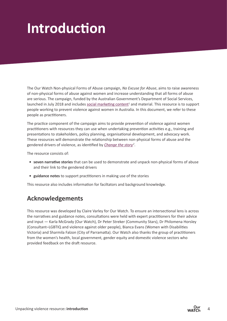## **Introduction**

The Our Watch Non-physical Forms of Abuse campaign, *No Excuse for Abuse*, aims to raise awareness of non-physical forms of abuse against women and increase understanding that all forms of abuse are serious. The campaign, funded by the Australian Government's Department of Social Services, launched in July 2018 and includes [social marketing content](https://www.ourwatch.org.au/no-excuse/home)<sup>1</sup> and material. This resource is to support people working to prevent violence against women in Australia. In this document, we refer to these people as practitioners.

The practice component of the campaign aims to provide prevention of violence against women practitioners with resources they can use when undertaking prevention activities e.g., training and presentations to stakeholders, policy planning, organisational development, and advocacy work. These resources will demonstrate the relationship between non-physical forms of abuse and the gendered drivers of violence, as identified by *[Change the story](https://www.ourwatch.org.au/What-We-Do/National-Primary-Prevention-Framework)2* .

The resource consists of:

- **seven narrative stories** that can be used to demonstrate and unpack non-physical forms of abuse and their link to the gendered drivers
- **guidance notes** to support practitioners in making use of the stories

This resource also includes information for faciltators and background knowledge.

## **Acknowledgements**

This resource was developed by Claire Varley for Our Watch. To ensure an intersectional lens is across the narratives and guidance notes, consultations were held with expert practitioners for their advice and input — Karla McGrady (Our Watch), Dr Peter Streker (Community Stars), Dr Philomena Horsley (Consultant–LGBTIQ and violence against older people), Bianca Evans (Women with Disabilities Victoria) and Sharmila Falzon (City of Parramatta). Our Watch also thanks the group of practitioners from the women's health, local government, gender equity and domestic violence sectors who provided feedback on the draft resource.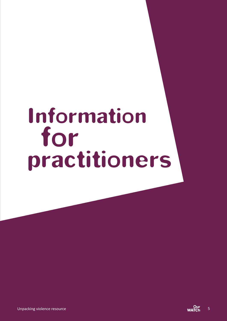# Information for practitioners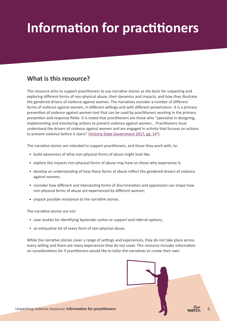## **Information for practitioners**

## **What is this resource?**

This resource aims to support practitioners to use narrative stories as the basis for unpacking and exploring different forms of non-physical abuse, their dynamics and impacts, and how they illustrate the gendered drivers of violence against women. The narratives consider a number of different forms of violence against women, in different settings and with different perpetrators. It is a primary prevention of violence against women tool that can be used by practitioners working in the primary prevention and response fields. It is noted that practitioners are those who "specialise in designing, implementing and monitoring actions to prevent violence against women... Practitioners must understand the drivers of violence against women and are engaged in activity that focuses on actions to prevent violence before it starts" (Victoria State Government 2017, pg. 14<sup>3</sup>).

The narrative stories are intended to support practitioners, and those they work with, to:

- build awareness of what non-physical forms of abuse might look like;
- explore the impacts non-physical forms of abuse may have on those who experience it;
- develop an understanding of how these forms of abuse reflect the gendered drivers of violence against women;
- consider how different and intersecting forms of discrimination and oppression can shape how non-physical forms of abuse are experienced by different women;
- unpack possible resistance to the narrative stories.

The narrative stories are not:

- case studies for identifying bystander action or support and referral options;
- an exhaustive list of every form of non-physical abuse.

While the narrative stories cover a range of settings and experiences, they do not take place across every setting and there are many experiences they do not cover. This resource includes information on considerations for if practitioners would like to tailor the narratives or create their own.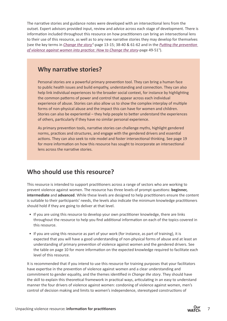The narrative stories and guidance notes were developed with an intersectional lens from the outset. Expert advisors provided input, review and advice across each stage of development. There is information included throughout this resource on how practitioners can bring an intersectional lens to their use of this resource, as well as to any new narrative stories they may develop for themselves (see the key terms in *[Change the story](https://www.ourwatch.org.au/getmedia/0aa0109b-6b03-43f2-85fe-a9f5ec92ae4e/Change-the-story-framework-prevent-violence-women-children-AA-new.pdf.aspx) <sup>4</sup>* -page 13-15; 38-40 & 61-62 and in the *[Putting the prevention](https://www.ourwatch.org.au/getmedia/a8d9dc3d-2291-48a6-82f8-68f1a955ce24/Putting-prevention-into-practice-AA-web.pdf.aspx)  [of violence against women into practice: How to Change the story](https://www.ourwatch.org.au/getmedia/a8d9dc3d-2291-48a6-82f8-68f1a955ce24/Putting-prevention-into-practice-AA-web.pdf.aspx)*-page 49-51<sup>5</sup> ).

### **Why narrative stories?**

Personal stories are a powerful primary prevention tool. They can bring a human face to public health issues and build empathy, understanding and connection. They can also help link individual experiences to the broader social context, for instance by highlighting the common patterns of power and control that appear across each individual experience of abuse. Stories can also allow us to show the complex interplay of multiple forms of non-physical abuse and the impact this can have for women and children. Stories can also be experiential – they help people to better understand the experiences of others, particularly if they have no similar personal experience.

As primary prevention tools, narrative stories can challenge myths, highlight gendered norms, practices and structures, and engage with the gendered drivers and essential actions. They can also seek to role model and foster intersectional thinking. See page 19 for more information on how this resource has sought to incorporate an intersectional lens across the narrative stories.

### **Who should use this resource?**

This resource is intended to support practitioners across a range of sectors who are working to prevent violence against women. The resource has three levels of prompt questions: **beginner, intermediate** and **advanced**. While these levels are designed to help practitioners ensure the content is suitable to their participants' needs, the levels also indicate the minimum knowledge practitioners should hold if they are going to deliver at that level.

- If you are using this resource to develop your own practitioner knowledge, there are links throughout the resource to help you find additional information on each of the topics covered in this resource.
- If you are using this resource as part of your work (for instance, as part of training), it is expected that you will have a good understanding of non-physical forms of abuse and at least an understanding of primary prevention of violence against women and the gendered drivers. See the table on page 10 for more information on the expected knowledge required to facilitate each level of this resource.

It is recommended that if you intend to use this resource for training purposes that your facilitators have expertise in the prevention of violence against women and a clear understanding and commitment to gender equality, and the themes identified in *Change the story*. They should have the skill to explain this theoretical framework in practical ways, articulating in an easy to understand manner the four drivers of violence against women: condoning of violence against women, men's control of decision making and limits to women's independence, stereotyped constructions of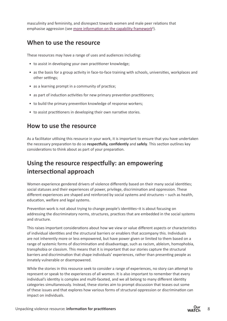masculinity and femininity, and disrespect towards women and male peer relations that emphasise aggression (see [more information on the capability framework](https://www.vic.gov.au/system/user_files/Documents/fv/Preventing%20Family%20Violence%20%26%20Violence%20Against%20Women%20Capability%20Framwork.pdf)<sup>6</sup>).

### **When to use the resource**

These resources may have a range of uses and audiences including:

- to assist in developing your own practitioner knowledge;
- as the basis for a group activity in face-to-face training with schools, universities, workplaces and other settings;
- as a learning prompt in a community of practice;
- as part of induction activities for new primary prevention practitioners;
- to build the primary prevention knowledge of response workers;
- to assist practitioners in developing their own narrative stories.

### **How to use the resource**

As a facilitator utilising this resource in your work, it is important to ensure that you have undertaken the necessary preparation to do so **respectfully, confidently** and **safely**. This section outlines key considerations to think about as part of your preparation.

## **Using the resource respectfully: an empowering intersectional approach**

Women experience gendered drivers of violence differently based on their many social identities; social statuses and their experiences of power, privilege, discrimination and oppression. These different experiences are shaped and reinforced by social systems and structures – such as health, education, welfare and legal systems.

Prevention work is not about trying to change people's identities–it is about focusing on addressing the discriminatory norms, structures, practices that are embedded in the social systems and structure.

This raises important considerations about how we view or value different aspects or characteristics of individual identities and the structural barriers or enablers that accompany this. Individuals are not inherently more or less empowered, but have power given or limited to them based on a range of systemic forms of discrimination and disadvantage, such as racism, ableism, homophobia, transphobia or classism. This means that it is important that our stories capture the structural barriers and discrimination that shape individuals' experiences, rather than presenting people as innately vulnerable or disempowered.

While the stories in this resource seek to consider a range of experiences, no story can attempt to represent or speak to the experiences of all women. It is also important to remember that every individual's identity is complex and multi-faceted, and we all belong to many different identity categories simultaneously. Instead, these stories aim to prompt discussion that teases out some of these issues and that explores how various forms of structural oppression or discrimination can impact on individuals.

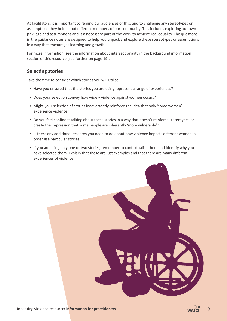As facilitators, it is important to remind our audiences of this, and to challenge any stereotypes or assumptions they hold about different members of our community. This includes exploring our own privilege and assumptions and is a necessary part of the work to achieve real equality. The questions in the guidance notes are designed to help you unpack and explore these stereotypes or assumptions in a way that encourages learning and growth.

For more information, see the information about intersectionality in the background information section of this resource (see further on page 19).

#### **Selecting stories**

Take the time to consider which stories you will utilise:

- Have you ensured that the stories you are using represent a range of experiences?
- Does your selection convey how widely violence against women occurs?
- Might your selection of stories inadvertently reinforce the idea that only 'some women' experience violence?
- Do you feel confident talking about these stories in a way that doesn't reinforce stereotypes or create the impression that some people are inherently 'more vulnerable'?
- Is there any additional research you need to do about how violence impacts different women in order use particular stories?
- If you are using only one or two stories, remember to contextualise them and identify why you have selected them. Explain that these are just examples and that there are many different experiences of violence.

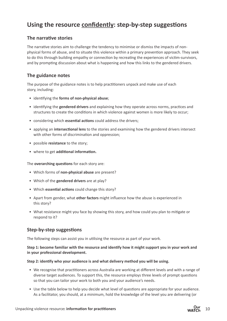## **Using the resource confidently: step-by-step suggestions**

#### **The narrative stories**

The narrative stories aim to challenge the tendency to minimise or dismiss the impacts of nonphysical forms of abuse, and to situate this violence within a primary prevention approach. They seek to do this through building empathy or connection by recreating the experiences of victim-survivors, and by prompting discussion about what is happening and how this links to the gendered drivers.

#### **The guidance notes**

The purpose of the guidance notes is to help practitioners unpack and make use of each story, including:

- identifying the **forms of non-physical abuse**;
- identifying the **gendered drivers** and explaining how they operate across norms, practices and structures to create the conditions in which violence against women is more likely to occur;
- considering which **essential actions** could address the drivers;
- applying an **intersectional lens** to the stories and examining how the gendered drivers intersect with other forms of discrimination and oppression;
- possible **resistance** to the story;
- where to get **additional information.**

The **overarching questions** for each story are:

- Which forms of **non-physical abuse** are present?
- Which of the **gendered drivers** are at play?
- Which **essential actions** could change this story?
- Apart from gender, what **other factors** might influence how the abuse is experienced in this story?
- What resistance might you face by showing this story, and how could you plan to mitigate or respond to it?

#### **Step-by-step suggestions**

The following steps can assist you in utilising the resource as part of your work.

#### **Step 1: become familiar with the resource and identify how it might support you in your work and in your professional development.**

#### **Step 2: identify who your audience is and what delivery method you will be using.**

- We recognise that practitioners across Australia are working at different levels and with a range of diverse target audiences. To support this, the resource employs three levels of prompt questions so that you can tailor your work to both you and your audience's needs.
- Use the table below to help you decide what level of questions are appropriate for your audience. As a facilitator, you should, at a minimum, hold the knowledge of the level you are delivering (or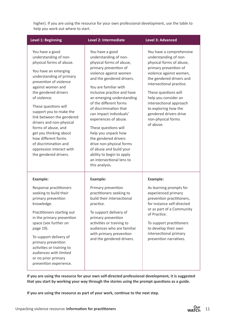higher). If you are using the resource for your own professional development, use the table to help you work out where to start.

| <b>Level 1: Beginning</b>                                                                                                                                                                                                                                                                                                                                                                                                                                                         | Level 2: Intermediate                                                                                                                                                                                                                                                                                                                                                                                                                                                                                                                                       | <b>Level 3: Advanced</b>                                                                                                                                                                                                                                                                                                                                  |  |  |  |  |
|-----------------------------------------------------------------------------------------------------------------------------------------------------------------------------------------------------------------------------------------------------------------------------------------------------------------------------------------------------------------------------------------------------------------------------------------------------------------------------------|-------------------------------------------------------------------------------------------------------------------------------------------------------------------------------------------------------------------------------------------------------------------------------------------------------------------------------------------------------------------------------------------------------------------------------------------------------------------------------------------------------------------------------------------------------------|-----------------------------------------------------------------------------------------------------------------------------------------------------------------------------------------------------------------------------------------------------------------------------------------------------------------------------------------------------------|--|--|--|--|
| You have a good<br>understanding of non-<br>physical forms of abuse.<br>You have an emerging<br>understanding of primary<br>prevention of violence<br>against women and<br>the gendered drivers<br>of violence.<br>These questions will<br>support you to make the<br>link between the gendered<br>drivers and non-physical<br>forms of abuse, and<br>get you thinking about<br>how different forms<br>of discrimination and<br>oppression interact with<br>the gendered drivers. | You have a good<br>understanding of non-<br>physical forms of abuse,<br>primary prevention of<br>violence against women<br>and the gendered drivers.<br>You are familiar with<br>inclusive practice and have<br>an emerging understanding<br>of the different forms<br>of discrimination that<br>can impact individuals'<br>experiences of abuse.<br>These questions will<br>help you unpack how<br>the gendered drivers<br>drive non-physical forms<br>of abuse and build your<br>ability to begin to apply<br>an intersectional lens to<br>this analysis. | You have a comprehensive<br>understanding of non-<br>physical forms of abuse,<br>primary prevention of<br>violence against women,<br>the gendered drivers and<br>intersectional practice.<br>These questions will<br>help you consider an<br>intersectional approach<br>to exploring how the<br>gendered drivers drive<br>non-physical forms<br>of abuse. |  |  |  |  |
| <b>Example:</b><br>Response practitioners<br>seeking to build their<br>primary prevention<br>knowledge.<br>Practitioners starting out<br>in the primary prevention<br>space (see further on<br>page 19).<br>To support delivery of<br>primary prevention<br>activities or training to<br>audiences with limited<br>or no prior primary<br>prevention experience.                                                                                                                  | <b>Example:</b><br>Primary prevention<br>practitioners seeking to<br>build their intersectional<br>practice.<br>To support delivery of<br>primary prevention<br>activities or training to<br>audiences who are familiar<br>with primary prevention<br>and the gendered drivers.                                                                                                                                                                                                                                                                             | <b>Example:</b><br>As learning prompts for<br>experienced primary<br>prevention practitioners,<br>for instance self-directed<br>or as part of a Community<br>of Practice.<br>To support practitioners<br>to develop their own<br>intersectional primary<br>prevention narratives.                                                                         |  |  |  |  |

**If you are using the resource for your own self-directed professional development, it is suggested that you start by working your way through the stories using the prompt questions as a guide.**

**If you are using the resource as part of your work, continue to the next step.**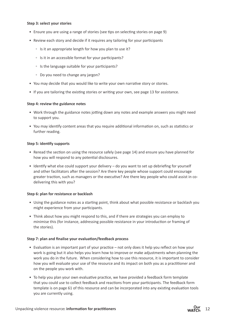#### **Step 3: select your stories**

- Ensure you are using a range of stories (see tips on selecting stories on page 9)
- Review each story and decide if it requires any tailoring for your participants
	- Is it an appropriate length for how you plan to use it?
	- Is it in an accessible format for your participants?
	- Is the language suitable for your participants?
	- Do you need to change any jargon?
- You may decide that you would like to write your own narrative story or stories.
- If you are tailoring the existing stories or writing your own, see page 13 for assistance.

#### **Step 4: review the guidance notes**

- Work through the guidance notes jotting down any notes and example answers you might need to support you.
- You may identify content areas that you require additional information on, such as statistics or further reading.

#### **Step 5: identify supports**

- Reread the section on using the resource safely (see page 14) and ensure you have planned for how you will respond to any potential disclosures.
- Identify what else could support your delivery do you want to set up debriefing for yourself and other facilitators after the session? Are there key people whose support could encourage greater traction, such as managers or the executive? Are there key people who could assist in codelivering this with you?

#### **Step 6: plan for resistance or backlash**

- Using the guidance notes as a starting point, think about what possible resistance or backlash you might experience from your participants.
- Think about how you might respond to this, and if there are strategies you can employ to minimise this (for instance, addressing possible resistance in your introduction or framing of the stories).

#### **Step 7: plan and finalise your evaluation/feedback process**

- Evaluation is an important part of your practice not only does it help you reflect on how your work is going but it also helps you learn how to improve or make adjustments when planning the work you do in the future. When considering how to use this resource, it is important to consider how you will evaluate your use of the resource and its impact on both you as a practitioner and on the people you work with.
- To help you plan your own evaluative practice, we have provided a feedback form template that you could use to collect feedback and reactions from your participants. The feedback form template is on page 61 of this resource and can be incorporated into any existing evaluation tools you are currently using.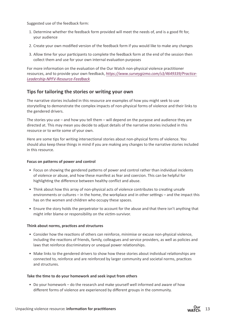Suggested use of the feedback form:

- 1. Determine whether the feedback form provided will meet the needs of, and is a good fit for, your audience
- 2. Create your own modified version of the feedback form if you would like to make any changes
- 3. Allow time for your participants to complete the feedback form at the end of the session then collect them and use for your own internal evaluation purposes

For more information on the evaluation of the Our Watch non-physical violence practitioner resources, and to provide your own feedback, *[https://www.surveygizmo.com/s3/4649339/Practice-](https://www.surveygizmo.com/s3/4649339/Practice-Leadership-NPFV-Resource-Feedback)Leadership-NPFV-Resource-Feedback*.

#### **Tips for tailoring the stories or writing your own**

The narrative stories included in this resource are examples of how you might seek to use storytelling to demonstrate the complex impacts of non-physical forms of violence and their links to the gendered drivers.

The stories you use – and how you tell them – will depend on the purpose and audience they are directed at. This may mean you decide to adjust details of the narrative stories included in this resource or to write some of your own.

Here are some tips for writing intersectional stories about non-physical forms of violence. You should also keep these things in mind if you are making any changes to the narrative stories included in this resource.

#### **Focus on patterns of power and control**

- Focus on showing the gendered patterns of power and control rather than individual incidents of violence or abuse, and how these manifest as fear and coercion. This can be helpful for highlighting the difference between healthy conflict and abuse.
- Think about how this array of non-physical acts of violence contributes to creating unsafe environments or cultures – in the home, the workplace and in other settings – and the impact this has on the women and children who occupy these spaces.
- Ensure the story holds the perpetrator to account for the abuse and that there isn't anything that might infer blame or responsibility on the victim-survivor.

#### **Think about norms, practices and structures**

- Consider how the reactions of others can reinforce, minimise or excuse non-physical violence, including the reactions of friends, family, colleagues and service providers, as well as policies and laws that reinforce discriminatory or unequal power relationships.
- Make links to the gendered drivers to show how these stories about individual relationships are connected to, reinforce and are reinforced by larger community and societal norms, practices and structures.

#### **Take the time to do your homework and seek input from others**

• Do your homework – do the research and make yourself well informed and aware of how different forms of violence are experienced by different groups in the community.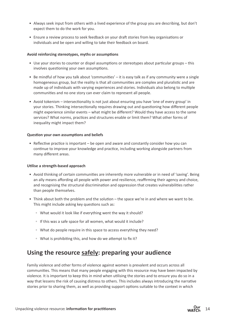- Always seek input from others with a lived experience of the group you are describing, but don't expect them to do the work for you.
- Ensure a review process to seek feedback on your draft stories from key organisations or individuals and be open and willing to take their feedback on board.

#### **Avoid reinforcing stereotypes, myths or assumptions**

- Use your stories to counter or dispel assumptions or stereotypes about particular groups this involves questioning your own assumptions.
- Be mindful of how you talk about 'communities' it is easy talk as if any community were a single homogeneous group, but the reality is that all communities are complex and pluralistic and are made up of individuals with varying experiences and stories. Individuals also belong to multiple communities and no one story can ever claim to represent all people.
- Avoid tokenism intersectionality is not just about ensuring you have 'one of every group' in your stories. Thinking intersectionally requires drawing out and questioning how different people might experience similar events – what might be different? Would they have access to the same services? What norms, practices and structures enable or limit them? What other forms of inequality might impact them?

#### **Question your own assumptions and beliefs**

• Reflective practice is important – be open and aware and constantly consider how you can continue to improve your knowledge and practice, including working alongside partners from many different areas.

#### **Utilise a strength-based approach**

- Avoid thinking of certain communities are inherently more vulnerable or in need of 'saving'. Being an ally means affording all people with power and resilience, reaffirming their agency and choice, and recognising the structural discrimination and oppression that creates vulnerabilities rather than people themselves.
- Think about both the problem and the solution the space we're in and where we want to be. This might include asking key questions such as:
	- What would it look like if everything went the way it should?
	- If this was a safe space for all women, what would it include?
	- What do people require in this space to access everything they need?
	- What is prohibiting this, and how do we attempt to fix it?

### **Using the resource safely: preparing your audience**

Family violence and other forms of violence against women is prevalent and occurs across all communities. This means that many people engaging with this resource may have been impacted by violence. It is important to keep this in mind when utilising the stories and to ensure you do so in a way that lessens the risk of causing distress to others. This includes always introducing the narrative stories prior to sharing them, as well as providing support options suitable to the context in which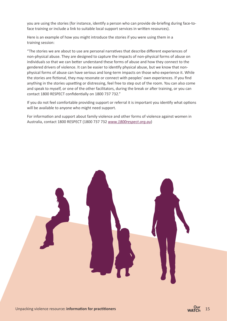you are using the stories (for instance, identify a person who can provide de-briefing during face-toface training or include a link to suitable local support services in written resources).

Here is an example of how you might introduce the stories if you were using them in a training session:

"The stories we are about to use are personal narratives that describe different experiences of non-physical abuse. They are designed to capture the impacts of non-physical forms of abuse on individuals so that we can better understand these forms of abuse and how they connect to the gendered drivers of violence. It can be easier to identify physical abuse, but we know that nonphysical forms of abuse can have serious and long-term impacts on those who experience it. While the stories are fictional, they may resonate or connect with peoples' own experiences. If you find anything in the stories upsetting or distressing, feel free to step out of the room. You can also come and speak to myself, or one of the other facilitators, during the break or after training, or you can contact 1800 RESPECT confidentially on 1800 737 732."

If you do not feel comfortable providing support or referral it is important you identify what options will be available to anyone who might need support.

For information and support about family violence and other forms of violence against women in Australia, contact 1800 RESPECT (1800 737 732 *[www.1800respect.org.au](http://www.1800respect.org.au)*)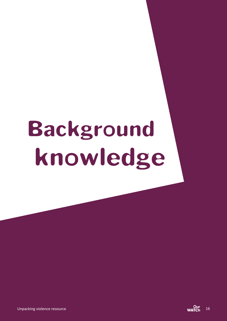# Background knowledge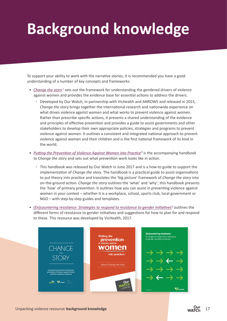## **Background knowledge**

To support your ability to work with the narrative stories, it is recommended you have a good understanding of a number of key concepts and frameworks:

- *[Change the stor](https://www.ourwatch.org.au/getmedia/0aa0109b-6b03-43f2-85fe-a9f5ec92ae4e/Change-the-story-framework-prevent-violence-women-children-AA-new.pdf.aspx)y<sup>7</sup>* sets out the framework for understanding the gendered drivers of violence against women and provides the evidence base for essential actions to address the drivers.
	- Developed by Our Watch, in partnership with VicHealth and ANROWS and released in 2015, *Change the story* brings together the international research and nationwide experience on what drives violence against women and what works to prevent violence against women. Rather than prescribe specific actions, it presents a shared understanding of the evidence and principles of effective prevention and provides a guide to assist governments and other stakeholders to develop their own appropriate policies, strategies and programs to prevent violence against women. It outlines a consistent and integrated national approach to prevent violence against women and their children and is the first national framework of its kind in the world.
- *[Putting the Prevention of Violence Against Women into Practic](https://www.ourwatch.org.au/getmedia/a8d9dc3d-2291-48a6-82f8-68f1a955ce24/Putting-prevention-into-practice-AA-web.pdf.aspx)e<sup>8</sup> is the accompanying handbook* to C*hange the story* and sets out what prevention work looks like in action.
	- This handbook was released by Our Watch in June 2017 and is a how-to guide to support the implementation of *Change the story*. The handbook is a practical guide to assist organisations to put theory into practice and translates the 'big picture' framework of *Change the story* into on-the-ground action. *Change the story* outlines the 'what' and 'why'; this handbook presents the 'how' of primary prevention. It outlines how you can assist in preventing violence against women in your context – whether it is a workplace, school, sports club, local government or NGO – with step-by-step guides and templates.
- (*En)countering resistance: Strategies to respond to resistance to gender initiatives<sup>9</sup> outlines the* different forms of resistance to gender initiatives and suggestions for how to plan for and respond to these. This resource was developed by VicHealth, 2017.

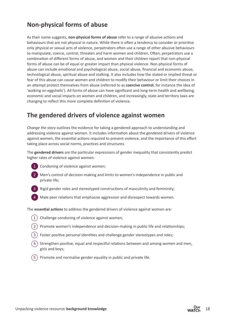## **Non-physical forms of abuse**

As their name suggests, **non-physical forms of abuse** refer to a range of abusive actions and behaviours that are not physical in nature. While there is often a tendency to consider or prioritise only physical or sexual acts of violence, perpetrators often use a range of other abusive behaviours to manipulate, coerce, control, threaten and harm women and children. Often, perpetrators use a combination of different forms of abuse, and women and their children report that non-physical forms of abuse can be of equal or greater impact than physical violence. Non-physical forms of abuse can include emotional and psychological abuse, social abuse, financial and economic abuse, technological abuse, spiritual abuse and stalking. It also includes how the stated or implied threat or fear of this abuse can cause women and children to modify their behaviour or limit their choices in an attempt protect themselves from abuse (referred to as **coercive control**, for instance the idea of 'walking on eggshells'). All forms of abuse can have significant and long-term health and wellbeing, economic and social impacts on women and children, and increasingly, state and territory laws are changing to reflect this more complete definition of violence.

## **The gendered drivers of violence against women**

*Change the story* outlines the evidence for taking a gendered approach to understanding and addressing violence against women. It includes information about the gendered drivers of violence against women, the essential actions required to prevent violence, and the importance of this effort taking place across social norms, practices and structures.

The **gendered drivers** are the particular expressions of gender inequality that consistently predict higher rates of violence against women:



1 Condoning of violence against women;



2 Men's control of decision-making and limits to women's independence in public and private life;



3 Rigid gender roles and stereotyped constructions of masculinity and femininity;

Male peer relations that emphasise aggression and disrespect towards women.

The **essential actions** to address the gendered drivers of violence against women are:

- $(1)$  Challenge condoning of violence against women;
- 2 Promote women's independence and decision-making in public life and relationships;
- 3 Foster positive personal identities and challenge gender stereotypes and roles;
- $\overline{4}$ ) Strengthen positive, equal and respectful relations between and among women and men, girls and boys;
- Promote and normalise gender equality in public and private life.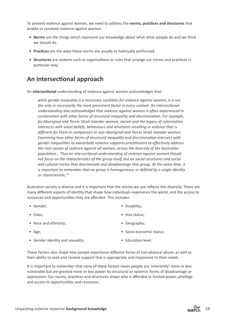To prevent violence against women, we need to address the **norms, practices and structures** that enable or condone violence against women.

- **• Norms** are the things which represent our knowledge about what other people do and we think we should do.
- **• Practices** are the ways these norms are usually or habitually performed.
- **• Structures** are systems such as organisations or rules that arrange our norms and practices in particular way.

## **An intersectional approach**

An **intersectional** understanding of violence against women acknowledges that:

*while gender inequality is a necessary condition for violence against women, it is not the only or necessarily the most prominent factor in every context. An intersectional understanding also acknowledges that violence against women is often experienced in combination with other forms of structural inequality and discrimination. For example, for Aboriginal and Torres Strait Islander women, racism and the legacy of colonisation intersects with sexist beliefs, behaviours and structures resulting in violence that is different for them in comparison to non-Aboriginal and Torres Strait Islander women. Examining how other forms of structural inequality and discrimination intersect with gender inequalities to exacerbate violence supports practitioners to effectively address the root causes of violence against all women, across the diversity of the Australian population… Thus an intersectional understanding of violence against women should not focus on the characteristics of the group itself, but on social structures and social and cultural norms that discriminate and disadvantage that group. At the same time, it is important to remember that no group is homogeneous or defined by a single identity or characteristic.10*

Australian society is diverse and it is important that the stories we use reflects this diversity. There are many different aspects of identity that shape how individuals experience the world, and the access to resources and opportunities they are afforded. This includes:

- Gender;
- Class;
- Race and ethnicity;
- Age;
- Gender identity and sexuality;
- Disability;
- Visa status;
- Geography;
- Socio-economic status;
- Education level.

These factors also shape how people experience different forms of non-physical abuse, as well as their ability to seek and receive support that is appropriate and responsive to their needs.

It is important to remember that none of these factors mean people are 'inherently' more or less vulnerable but are granted more or less power by structural or systemic forms of disadvantage or oppression. Our norms, practices and structures shape who is afforded or limited power, privilege and access to opportunities and resources.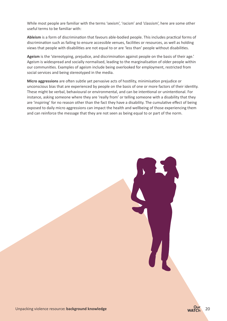While most people are familiar with the terms 'sexism', 'racism' and 'classism', here are some other useful terms to be familiar with:

**Ableism** is a form of discrimination that favours able-bodied people. This includes practical forms of discrimination such as failing to ensure accessible venues, facilities or resources, as well as holding views that people with disabilities are not equal to or are 'less than' people without disabilities.

**Ageism** is the 'stereotyping, prejudice, and discrimination against people on the basis of their age.' Ageism is widespread and socially normalised, leading to the marginalisation of older people within our communities. Examples of ageism include being overlooked for employment, restricted from social services and being stereotyped in the media.

**Micro aggressions** are often subtle yet pervasive acts of hostility, minimisation prejudice or unconscious bias that are experienced by people on the basis of one or more factors of their identity. These might be verbal, behavioural or environmental, and can be intentional or unintentional. For instance, asking someone where they are 'really from' or telling someone with a disability that they are 'inspiring' for no reason other than the fact they have a disability. The cumulative effect of being exposed to daily micro aggressions can impact the health and wellbeing of those experiencing them and can reinforce the message that they are not seen as being equal to or part of the norm.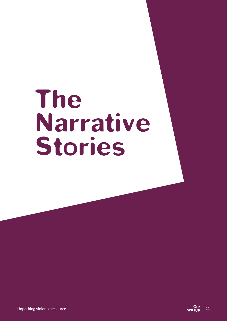# The Narrative Stories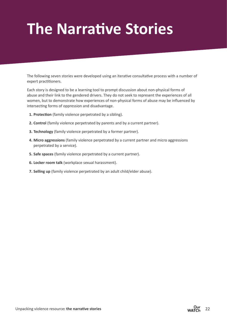## **The Narrative Stories**

The following seven stories were developed using an iterative consultative process with a number of expert practitioners.

Each story is designed to be a learning tool to prompt discussion about non-physical forms of abuse and their link to the gendered drivers. They do not seek to represent the experiences of all women, but to demonstrate how experiences of non-physical forms of abuse may be influenced by intersecting forms of oppression and disadvantage.

- **1. Protection** (family violence perpetrated by a sibling).
- **2. Control** (family violence perpetrated by parents and by a current partner).
- **3. Technology** (family violence perpetrated by a former partner).
- **4. Micro aggressions** (family violence perpetrated by a current partner and micro aggressions perpetrated by a service).
- **5. Safe spaces** (family violence perpetrated by a current partner).
- **6. Locker room talk** (workplace sexual harassment).
- **7. Selling up** (family violence perpetrated by an adult child/elder abuse).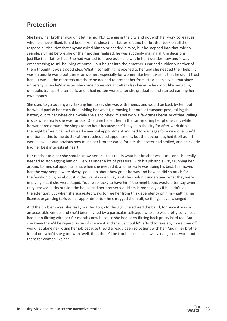## **Protection**

She knew her brother wouldn't let her go. Not to a gig in the city and not with her work colleagues who he'd never liked. It had been like this since their father left and her brother took on all the responsibilities. Not that anyone asked him to or needed him to, but he stepped into that role so seamlessly that before she or their mother realised, he was suddenly making all the decisions, just like their father had. She had wanted to move out – she was in her twenties now and it was embarrassing to still be living at home – but he got into their mother's ear and suddenly neither of them thought it was a good idea. What if something happened to her and she needed their help? It was an unsafe world out there for women, especially for women like her. It wasn't that he didn't trust her – it was all the monsters out there he needed to protect her from. He'd been saying that since university when he'd insisted she come home straight after class because he didn't like her going on public transport after dark, and it had gotten worse after she graduated and started earning her own money.

She used to go out anyway, texting him to say she was with friends and would be back by ten, but he would punish her each time: hiding her wallet, removing her public transport pass, taking the battery out of her wheelchair while she slept. She'd missed work a few times because of that, calling in sick when really she was furious. One time he left her in the car, ignoring her phone calls while he wandered around the shops for an hour because she'd stayed in the city for after-work drinks the night before. She had missed a medical appointment and had to wait ages for a new one. She'd mentioned this to the doctor at the rescheduled appointment, but the doctor laughed it off as if it were a joke. It was obvious how much her brother cared for her, the doctor had smiled, and he clearly had her best interests at heart.

Her mother told her she should know better – that this is what her brother was like – and she really needed to stop egging him on. He was under a lot of pressure, with his job and always running her around to medical appointments when she needed it, and he really was doing his best. It annoyed her, the way people were always going on about how great he was and how he did so much for the family. Going on about it in this weird coded way as if she couldn't understand what they were implying – as if she were stupid. 'You're so lucky to have him,' the neighbours would often say when they crossed paths outside the house and her brother would smile modestly as if he didn't love the attention. But when she suggested ways to free her from this dependency on him – getting her license, organising taxis to her appointments – he shrugged them off, so things never changed.

And the problem was, she really wanted to go to this gig. She adored the band, for once it was in an accessible venue, and she'd been invited by a particular colleague who she was pretty convinced had been flirting with her for months now because she had been flirting back pretty hard too. But she knew there'd be repercussions if she went and she just couldn't afford to take any more time off work, let alone risk losing her job because they'd already been so patient with her. And if her brother found out who'd she gone with, well, then there'd be trouble because it was a dangerous world out there for women like her.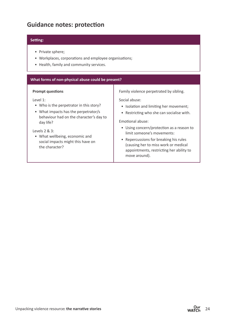## **Guidance notes: protection**

#### **Setting:**

- Private sphere;
- Workplaces, corporations and employee organisations;
- Health, family and community services.

#### **What forms of non-physical abuse could be present?**

#### **Prompt questions**

Level 1:

- Who is the perpetrator in this story?
- What impacts has the perpetrator/s behaviour had on the character's day to day life?

#### Levels 2 & 3:

• What wellbeing, economic and social impacts might this have on the character?

Family violence perpetrated by sibling.

Social abuse:

- Isolation and limiting her movement;
- Restricting who she can socialise with.

Emotional abuse:

- Using concern/protection as a reason to limit someone's movements:
- Repercussions for breaking his rules (causing her to miss work or medical appointments, restricting her ability to move around).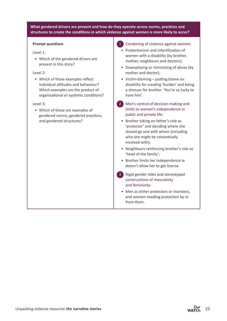#### **What gendered drivers are present and how do they operate across norms, practices and structures to create the conditions in which violence against women is more likely to occur?**

#### **Prompt questions**

#### Level 1:

• Which of the gendered drivers are present in this story?

#### Level 2:

• Which of these examples reflect individual attitudes and behaviour? Which examples are the product of organisational or systemic conditions?

#### Level 3:

• Which of these are examples of gendered norms, gendered practices, and gendered structures?

#### 1 Condoning of violence against women:

- Protectionism and infantilisation of women with a disability (by brother, mother, neighbours and doctors);
- Downplaying or minimizing of abuse (by mother and doctor);
- Victim-blaming putting blame on disability for creating 'burden' and being a stressor for brother. 'You're so lucky to have him'.
- 2 Men's control of decision-making and limits to women's independence in public and private life:
	- Brother taking on father's role as 'protector' and deciding where she should go and with whom (including who she might be romantically involved with);
	- Neighbours reinforcing brother's role as 'head of the family';
	- Brother limits her independence ie doesn't allow her to get license.
- 3 Rigid gender roles and stereotyped constructions of masculinity and femininity:
	- Men as either protectors or monsters, and women needing protection by or from them.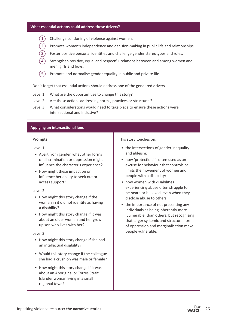- $(1)$  Challenge condoning of violence against women.
- 2 Promote women's independence and decision-making in public life and relationships.
	- Foster positive personal identities and challenge gender stereotypes and roles.
	- Strengthen positive, equal and respectful relations between and among women and men, girls and boys.
- $(5)$  Promote and normalise gender equality in public and private life.

Don't forget that essential actions should address one of the gendered drivers.

- Level 1: What are the opportunities to change this story?
- Level 2: Are these actions addressing norms, practices or structures?
- Level 3: What considerations would need to take place to ensure these actions were intersectional and inclusive?

#### **Applying an intersectional lens**

#### **Prompts**

Level 1:

- Apart from gender, what other forms of discrimination or oppression might influence the character's experience?
- How might these impact on or influence her ability to seek out or access support?

#### Level 2:

- How might this story change if the woman in it did not identify as having a disability?
- How might this story change if it was about an older woman and her grown up son who lives with her?

#### Level 3:

- How might this story change if she had an intellectual disability?
- Would this story change if the colleague she had a crush on was male or female?
- How might this story change if it was about an Aboriginal or Torres Strait Islander woman living in a small regional town?

#### This story touches on:

- the intersections of gender inequality and ableism;
- how 'protection' is often used as an excuse for behaviour that controls or limits the movement of women and people with a disability;
- how women with disabilities experiencing abuse often struggle to be heard or believed, even when they disclose abuse to others;
- the importance of not presenting any individuals as being inherently more 'vulnerable' than others, but recognising that larger systemic and structural forms of oppression and marginalisation make people vulnerable.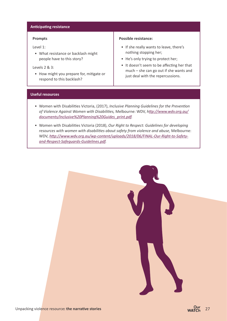#### **Anticipating resistance**

#### **Prompts**

Level 1:

• What resistance or backlash might people have to this story?

#### Levels 2 & 3:

• How might you prepare for, mitigate or respond to this backlash?

#### **Possible resistance:**

- If she really wants to leave, there's nothing stopping her;
- He's only trying to protect her;
- It doesn't seem to be affecting her that much – she can go out if she wants and just deal with the repercussions.

#### **Useful resources**

- Women with Disabilities Victoria, (2017), *Inclusive Planning Guidelines for the Prevention of Violence Against Women with Disabilities,* Melbourne: WDV, *h[ttp://www.wdv.org.au/](http://www.wdv.org.au/documents/Inclusive%20Planning%20Guides_print.pdf) [documents/Inclusive%20Planning%20Guides\\_print.pdf](http://www.wdv.org.au/documents/Inclusive%20Planning%20Guides_print.pdf).*
- Women with Disabilities Victoria (2018), *Our Right to Respect: Guidelines for developing resources with women with disabilities about safety from violence and abuse,* Melbourne: WDV, *[http://www.wdv.org.au/wp-content/uploads/2018/06/FINAL-Our-Right-to-Safety](http://www.wdv.org.au/wp-content/uploads/2018/06/FINAL-Our-Right-to-Safety-and-Respect-Safeguards-Guidelines.pdf)[and-Respect-Safeguards-Guidelines.pdf.](http://www.wdv.org.au/wp-content/uploads/2018/06/FINAL-Our-Right-to-Safety-and-Respect-Safeguards-Guidelines.pdf)*

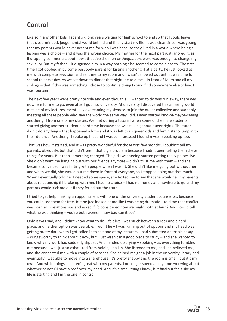## **Control**

Like so many other kids, I spent six long years waiting for high school to end so that I could leave that close-minded, judgemental world behind and finally start my life. It was clear since I was young that my parents would never accept me for who I was because they lived in a world where being a lesbian was a choice – and it was the wrong choice. My mother for the most part just ignored it, as if dropping comments about how attractive the men on *Neighbours* were was enough to change my sexuality. But my father – it disgusted him in a way nothing else seemed to come close to. The first time I got dobbed in by some busybody parent for kissing another girl at a party, he just looked at me with complete revulsion and sent me to my room and I wasn't allowed out until it was time for school the next day. As we sat down to dinner that night, he told me – in front of Mum and all my siblings – that if this was something I chose to continue doing I could find somewhere else to live. I was fourteen.

The next few years were pretty horrible and even though all I wanted to do was run away, there was nowhere for me to go, even after I got into university. At university I discovered this amazing world outside of my lectures, eventually overcoming my shyness to join the queer collective and suddenly meeting all these people who saw the world the same way I did. I even started kind-of-maybe-seeing another girl from one of my classes. We met during a tutorial when some of the male students started giving another student a hard time because she was talking about queer rights. The tutor didn't do anything – that happened a lot – and it was left to us queer kids and feminists to jump in to their defence. Another girl spoke up first and I was so impressed I found myself speaking up too.

That was how it started, and it was pretty wonderful for those first few months. I couldn't tell my parents, obviously, but that didn't seem that big a problem because I hadn't been telling them these things for years. But then something changed. The girl I was seeing started getting really possessive. She didn't want me hanging out with our friends anymore – didn't trust me with them – and she became convinced I was flirting with people when I wasn't. She didn't like me going out without her and when we did, she would put me down in front of everyone, so I stopped going out that much. When I eventually told her I needed some space, she texted me to say that she would tell my parents about relationship if I broke up with her. I had no choice – I had no money and nowhere to go and my parents would kick me out if they found out the truth.

I tried to get help, making an appointment with one of the university student counsellors because you could see them for free. But he just looked at me like I was being dramatic – told me that conflict was normal in relationships and asked if I'd considered how we might both at fault? And I could tell what he was thinking – you're both women, how bad can it be?

Only it *was* bad, and I didn't know what to do. I felt like I was stuck between a rock and a hard place, and neither option was bearable. I won't lie – I was running out of options and my head was getting pretty dark when I got called in to see one of my lecturers. I had submitted a terrible essay – cringeworthy to think about it now, but I just wasn't in a good place to study – and she wanted to know why my work had suddenly slipped. And I ended up crying – sobbing – as everything tumbled out because I was just so exhausted from holding it all in. She listened to me, and she believed me, and she connected me with a couple of services. She helped me get a job in the university library and eventually I was able to move into a sharehouse. It's pretty shabby and the room is small, but it's my own. And while things still aren't great with my parents, I no longer spend all my time worrying about whether or not I'll have a roof over my head. And it's a small thing I know, but finally it feels like my life is starting and I'm the one in control.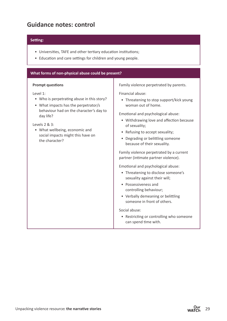## **Guidance notes: control**

#### **Setting:**

- Universities, TAFE and other tertiary education institutions;
- Education and care settings for children and young people.

#### **What forms of non-physical abuse could be present?**

#### **Prompt questions**

Level 1:

- Who is perpetrating abuse in this story?
- What impacts has the perpetrator/s behaviour had on the character's day to day life?

Levels 2 & 3:

• What wellbeing, economic and social impacts might this have on the character?

Family violence perpetrated by parents.

Financial abuse:

• Threatening to stop support/kick young woman out of home.

Emotional and psychological abuse:

- Withdrawing love and affection because of sexuality;
- Refusing to accept sexuality;
- Degrading or belittling someone because of their sexuality.

Family violence perpetrated by a current partner (intimate partner violence).

Emotional and psychological abuse:

- Threatening to disclose someone's sexuality against their will;
- Possessiveness and controlling behaviour;
- Verbally demeaning or belittling someone in front of others.

Social abuse:

• Restricting or controlling who someone can spend time with.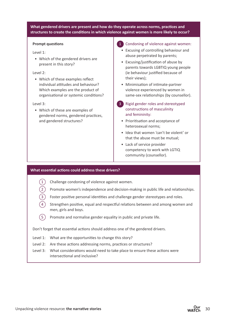#### **What gendered drivers are present and how do they operate across norms, practices and structures to create the conditions in which violence against women is more likely to occur?**

#### **Prompt questions**

#### Level 1:

• Which of the gendered drivers are present in this story?

#### Level 2:

• Which of these examples reflect individual attitudes and behaviour? Which examples are the product of organisational or systemic conditions?

#### Level 3:

• Which of these are examples of gendered norms, gendered practices, and gendered structures?

#### 1 Condoning of violence against women:

- Excusing of controlling behaviour and abuse perpetrated by parents;
- Excusing/justification of abuse by parents towards LGBTIQ young people (ie behaviour justified because of their views);
- Minimisation of intimate-partner violence experienced by women in same-sex relationships (by counsellor).
- **3** Rigid gender roles and stereotyped constructions of masculinity and femininity:
	- Prioritisation and acceptance of heterosexual norms;
	- Idea that women 'can't be violent' or that the abuse must be mutual;
	- Lack of service provider competency to work with LGTIQ community (counsellor).

#### **What essential actions could address these drivers?**

|  |  | 1) Challenge condoning of violence against women. |
|--|--|---------------------------------------------------|
|  |  |                                                   |

- 2 Promote women's independence and decision-making in public life and relationships.
- Foster positive personal identities and challenge gender stereotypes and roles.
- Strengthen positive, equal and respectful relations between and among women and men, girls and boys.
- $(5)$  Promote and normalise gender equality in public and private life.

Don't forget that essential actions should address one of the gendered drivers.

- Level 1: What are the opportunities to change this story?
- Level 2: Are these actions addressing norms, practices or structures?
- Level 3: What considerations would need to take place to ensure these actions were intersectional and inclusive?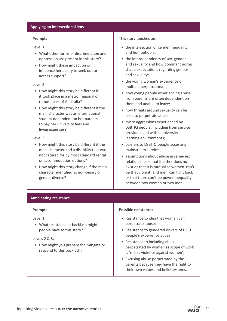#### **Applying an intersectional lens**

#### **Prompts**

Level 1:

- What other forms of discrimination and oppression are present in this story?
- How might these impact on or influence her ability to seek out or access support?

#### Level 2:

- How might this story be different if it took place in a metro, regional or remote part of Australia?
- How might this story be different if the main character was an international student dependent on her parents to pay her university fees and living expenses?

#### Level 3:

- How might this story be different if the main character had a disability that was not catered for by most standard rental or accommodation options?
- How might this story change if the main character identified as non-binary or gender diverse?

#### This story touches on:

- the intersection of gender inequality and homophobia;
- the interdependency of sex, gender and sexuality and how dominant norms shape expectations regarding gender and sexuality;
- the young woman's experience of multiple perpetrators;
- how young people experiencing abuse from parents are often dependent on them and unable to leave;
- how threats around sexuality can be used to perpetrate abuse;
- micro aggressions experienced by LGBTIQ people, including from service providers and within university learning environments;
- barriers to LGBTIQ people accessing mainstream services;
- assumptions about abuse in same-sex relationships – that it either does not exist or that it is mutual as women 'can't be that violent' and men 'can fight back' or that there can't be power inequality between two women or two men.

#### **Anticipating resistance**

#### **Prompts**

#### Level 1:

• What resistance or backlash might people have to this story?

#### Levels 2 & 3:

• How might you prepare for, mitigate or respond to this backlash?

#### **Possible resistance:**

- Resistance to idea that woman can perpetrate abuse;
- Resistance to gendered drivers of LGBT people's experience abuse;
- Resistance to including abuse; perpetrated by women as scope of work is 'men's violence against women';
- Excusing abuse perpetrated by the parents because they have the right to their own values and belief systems.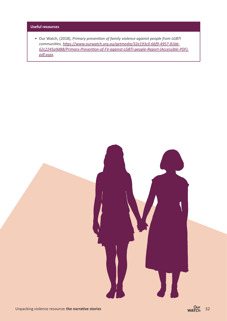#### **Useful resources**

• Our Watch, (2018), *Primary prevention of family violence against people from LGBTI communities, [https://www.ourwatch.org.au/getmedia/32e193c0-66f9-4957-81bb-](https://www.ourwatch.org.au/getmedia/32e193c0-66f9-4957-81bb-62c2245a9d88/Primary-Prevention-of-FV-against-LGBTI-people-Report-(Accessible-PDF).pdf.aspx)[62c2245a9d88/Primary-Prevention-of-FV-against-LGBTI-people-Report-\(Accessible-PDF\).](https://www.ourwatch.org.au/getmedia/32e193c0-66f9-4957-81bb-62c2245a9d88/Primary-Prevention-of-FV-against-LGBTI-people-Report-(Accessible-PDF).pdf.aspx) [pdf.aspx.](https://www.ourwatch.org.au/getmedia/32e193c0-66f9-4957-81bb-62c2245a9d88/Primary-Prevention-of-FV-against-LGBTI-people-Report-(Accessible-PDF).pdf.aspx)*

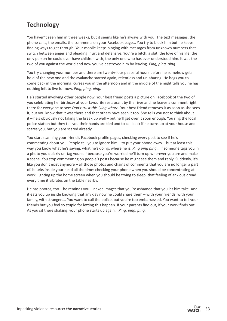## **Technology**

You haven't seen him in three weeks, but it seems like he's always with you. The text messages, the phone calls, the emails, the comments on your Facebook page... You try to block him but he keeps finding ways to get through. Your mobile keeps pinging with messages from unknown numbers that switch between anger and pleading, hurt and defensive. You're a bitch, a slut, the love of his life, the only person he could ever have children with, the only one who has ever understood him. It was the two of you against the world and now you've destroyed him by leaving. *Ping, ping, ping.*

You try changing your number and there are twenty-four peaceful hours before he somehow gets hold of the new one and the avalanche started again, relentless and un-abating. He begs you to come back in the morning, curses you in the afternoon and in the middle of the night tells you he has nothing left to live for now. *Ping, ping, ping.* 

He's started involving other people now. Your best friend posts a picture on Facebook of the two of you celebrating her birthday at your favourite restaurant by the river and he leaves a comment right there for everyone to see: *Don't trust this lying whore.* Your best friend removes it as soon as she sees it, but you know that it was there and that others have seen it too. She tells you not to think about it – he's obviously not taking the break up well – but he'll get over it soon enough. You ring the local police station but they tell you their hands are tied and to call back if he turns up at your house and scares you, but you are scared already.

You start scanning your friend's Facebook profile pages, checking every post to see if he's commenting about you. People tell you to ignore him  $-$  to put your phone away  $-$  but at least this way you know what he's saying, what he's doing, where he is. *Ping ping ping*… If someone tags you in a photo you quickly un-tag yourself because you're worried he'll turn up wherever you are and make a scene. You stop commenting on people's posts because he might see them and reply. Suddenly, it's like you don't exist anymore – all those photos and chains of comments that you are no longer a part of. It lurks inside your head all the time: checking your phone when you should be concentrating at work, lighting up the home screen when you should be trying to sleep, that feeling of anxious dread every time it vibrates on the table nearby.

He has photos, too – he reminds you – naked images that you're ashamed that you let him take. And it eats you up inside knowing that any day now he could share them – with your friends, with your family, with strangers… You want to call the police, but you're too embarrassed. You want to tell your friends but you feel so stupid for letting this happen. If your parents find out, if your work finds out… As you sit there shaking, your phone starts up again… *Ping, ping, ping.*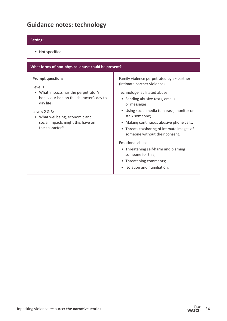## **Guidance notes: technology**

#### **Setting:**

• Not specified.

| What forms of non-physical abuse could be present?                                                                                                                                                                                               |                                                                                                                                                                                                                                                                                                                                                                                                                                                                                                    |  |  |  |  |  |  |
|--------------------------------------------------------------------------------------------------------------------------------------------------------------------------------------------------------------------------------------------------|----------------------------------------------------------------------------------------------------------------------------------------------------------------------------------------------------------------------------------------------------------------------------------------------------------------------------------------------------------------------------------------------------------------------------------------------------------------------------------------------------|--|--|--|--|--|--|
| <b>Prompt questions</b><br>Level 1:<br>• What impacts has the perpetrator's<br>behaviour had on the character's day to<br>day life?<br>Levels $2 & 3$ :<br>• What wellbeing, economic and<br>social impacts might this have on<br>the character? | Family violence perpetrated by ex-partner<br>(intimate partner violence).<br>Technology-facilitated abuse:<br>• Sending abusive texts, emails<br>or messages;<br>• Using social media to harass, monitor or<br>stalk someone;<br>Making continuous abusive phone calls.<br>• Threats to/sharing of intimate images of<br>someone without their consent.<br>Emotional abuse:<br>• Threatening self-harm and blaming<br>someone for this;<br>• Threatening comments;<br>• Isolation and humiliation. |  |  |  |  |  |  |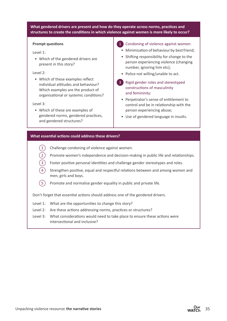#### **What gendered drivers are present and how do they operate across norms, practices and structures to create the conditions in which violence against women is more likely to occur?**

#### **Prompt questions**

#### Level 1:

• Which of the gendered drivers are present in this story?

#### Level 2:

• Which of these examples reflect individual attitudes and behaviour? Which examples are the product of organisational or systemic conditions?

#### Level 3:

• Which of these are examples of gendered norms, gendered practices, and gendered structures?

#### 1 Condoning of violence against women:

- Minimisation of behaviour by best friend;
- Shifting responsibility for change to the person experiencing violence (changing number, ignoring him etc);
- Police not willing/unable to act.
- 3 Rigid gender roles and stereotyped constructions of masculinity and femininity:
	- Perpetrator's sense of entitlement to control and be in relationship with the person experiencing abuse;
	- Use of gendered language in insults.

#### **What essential actions could address these drivers?**

|  |  |  |  | 1) Challenge condoning of violence against women. |
|--|--|--|--|---------------------------------------------------|
|--|--|--|--|---------------------------------------------------|

- $\overline{2}$  Promote women's independence and decision-making in public life and relationships.
- Foster positive personal identities and challenge gender stereotypes and roles.
	- Strengthen positive, equal and respectful relations between and among women and men, girls and boys.
- $(5)$  Promote and normalise gender equality in public and private life.

Don't forget that essential actions should address one of the gendered drivers.

- Level 1: What are the opportunities to change this story?
- Level 2: Are these actions addressing norms, practices or structures?
- Level 3: What considerations would need to take place to ensure these actions were intersectional and inclusive?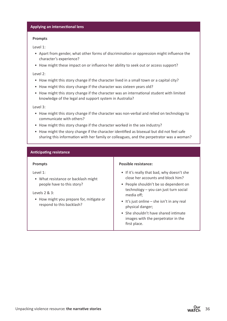#### **Applying an intersectional lens**

#### **Prompts**

Level 1:

- Apart from gender, what other forms of discrimination or oppression might influence the character's experience?
- How might these impact on or influence her ability to seek out or access support?

#### Level 2:

- How might this story change if the character lived in a small town or a capital city?
- How might this story change if the character was sixteen years old?
- How might this story change if the character was an international student with limited knowledge of the legal and support system in Australia?

Level 3:

- How might this story change if the character was non-verbal and relied on technology to communicate with others?
- How might this story change if the character worked in the sex industry?
- How might the story change if the character identified as bisexual but did not feel safe sharing this information with her family or colleagues, and the perpetrator was a woman?

#### **Anticipating resistance**

#### **Prompts**

Level 1:

• What resistance or backlash might people have to this story?

#### Levels 2 & 3:

• How might you prepare for, mitigate or respond to this backlash?

#### **Possible resistance:**

- If it's really that bad, why doesn't she close her accounts and block him?
- People shouldn't be so dependent on technology – you can just turn social media off;
- $\bullet$  It's just online she isn't in any real physical danger;
- She shouldn't have shared intimate images with the perpetrator in the first place.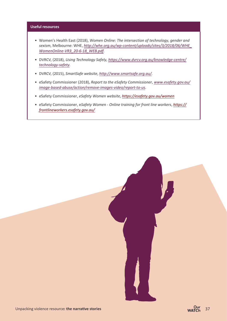#### **Useful resources**

- Women's Health East (2018), *Women Online: The intersection of technology, gender and sexism*, Melbourne: WHE, *[http://whe.org.au/wp-content/uploads/sites/3/2018/06/WHE\\_](http://whe.org.au/wp-content/uploads/sites/3/2018/06/WHE_WomenOnline-VR3_20-6-18_WEB.pdf) [WomenOnline-VR3\\_20-6-18\\_WEB.pdf](http://whe.org.au/wp-content/uploads/sites/3/2018/06/WHE_WomenOnline-VR3_20-6-18_WEB.pdf).*
- DVRCV, (2018), *Using Technology Safely, [https://www.dvrcv.org.au/knowledge-centre/](https://www.dvrcv.org.au/knowledge-centre/technology-safety) [technology-safety](https://www.dvrcv.org.au/knowledge-centre/technology-safety).*
- DVRCV, (2015), *SmartSafe website*, *<http://www.smartsafe.org.au/>.*
- eSafety Commissioner (2018), *Report to the eSafety Commissioner*, *[www.esafety.gov.au/](http://www.esafety.gov.au/image-based-abuse/action/remove-images-video/report-to-us) [image-based-abuse/action/remove-images-video/report-to-us](http://www.esafety.gov.au/image-based-abuse/action/remove-images-video/report-to-us).*
- eSafety Commissioner, *eSafety Women website, <https://esafety.gov.au/women>*
- eSafety Commissioner, e*Safety Women Online training for front line workers*, *[https://](https://frontlineworkers.esafety.gov.au/) [frontlineworkers.esafety.gov.au/](https://frontlineworkers.esafety.gov.au/)*

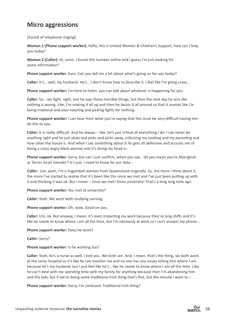## **Micro aggressions**

[Sound of telephone ringing]

**Woman 1 (Phone support worker):** Hello, this is United Women & Children's Support, how can I help you today?

**Woman 2 (Caller):** Hi, umm. I found this number online and I guess I'm just looking for some information?

**Phone support worker:** Sure. Can you tell me a bit about what's going on for you today?

**Caller:** It's… well, my husband. He's… I don't know how to describe it. I feel like I'm going crazy…

**Phone support worker:** I'm here to listen, you can talk about whatever is happening for you.

**Caller:** So… we fight, right, and he says these horrible things, but then the next day he acts like nothing is wrong. Like, I'm making it all up and then he twists it all around so that it sounds like I'm being irrational and over-reacting and picking fights for nothing.

**Phone support worker:** I can hear from what you're saying that this must be very difficult having him do this to you.

**Caller:** It is really difficult. And he always – like, he's just critical of everything I do. I can never do anything right and he just picks and picks and picks away, criticising my cooking and my parenting and how clean the house is. And when I say something about it he gets all defensive and accuses me of being a crazy angry black woman and it's doing my head in.

**Phone support worker:** Sorry, but can I just confirm, when you say… do you mean you're Aboriginal or Torres Strait Islander? It's just, I need to know for our data…

**Caller:** Um, yeah, I'm a Yugambeh woman from Queensland originally. So, the more I think about it, the more I've started to realise that it's been like this since we met and I've just been putting up with it and thinking it was ok. But I mean – since we met! Since university! That's a long long time ago.

**Phone support worker:** You met at university?

**Caller:** Yeah. We were both studying nursing.

**Phone support worker:** Oh, wow. Good on you.

**Caller:** Um, ok. But anyway, I mean, it's even impacting my work because they're long shifts and it's like he needs to know where I am all the time, but I'm obviously at work so I can't answer my phone...

Phone support worker: Does he work?

**Caller:** Sorry?

#### **Phone support worker:** Is he working too?

**Caller:** Yeah, he's a nurse as well, I told you. We both are. And, I mean, that's the thing, we both work at the same hospital so it's like he can monitor me and no one has any issues telling him where I am because he's my husband, but I just feel like he's… like he needs to know where I am all the time. Like, he can't deal with me spending time with my family for anything because then I'm abandoning him and the kids, but if we're doing some traditional Irish thing that's fine, but the minute I want to -

**Phone support worker:** Sorry, I'm confused. Traditional Irish thing?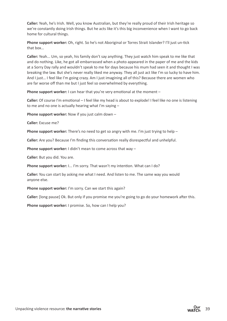**Caller:** Yeah, he's Irish. Well, you know Australian, but they're really proud of their Irish heritage so we're constantly doing Irish things. But he acts like it's this big inconvenience when I want to go back home for cultural things.

**Phone support worker:** Oh, right. So he's not Aboriginal or Torres Strait Islander? I'll just un-tick that box…

**Caller:** Yeah... Um, so yeah, his family don't say anything. They just watch him speak to me like that and do nothing. Like, he got all embarrassed when a photo appeared in the paper of me and the kids at a Sorry Day rally and wouldn't speak to me for days because his mum had seen it and thought I was breaking the law. But she's never really liked me anyway. They all just act like I'm so lucky to have him. And I just… I feel like I'm going crazy. Am I just imagining all of this? Because there are women who are far worse off than me but I just feel so overwhelmed by everything.

**Phone support worker:** I can hear that you're very emotional at the moment –

**Caller:** Of course I'm emotional – I feel like my head is about to explode! I feel like no one is listening to me and no one is actually hearing what I'm saying –

**Phone support worker:** Now if you just calm down –

**Caller:** Excuse me?

**Phone support worker:** There's no need to get so angry with me. I'm just trying to help –

**Caller:** Are you? Because I'm finding this conversation really disrespectful and unhelpful.

**Phone support worker:** I didn't mean to come across that way -

**Caller:** But you did. You are.

**Phone support worker:** I... I'm sorry. That wasn't my intention. What can I do?

**Caller:** You can start by asking me what I need. And listen to me. The same way you would anyone else.

Phone support worker: I'm sorry. Can we start this again?

**Caller:** [long pause] Ok. But only if you promise me you're going to go do your homework after this.

**Phone support worker:** I promise. So, how can I help you?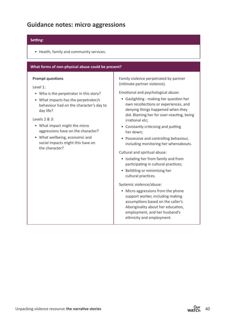## **Guidance notes: micro aggressions**

#### **Setting:**

• Health, family and community services.

#### **What forms of non-physical abuse could be present?**

#### **Prompt questions**

Level 1:

- Who is the perpetrator in this story?
- What impacts has the perpetrator/s behaviour had on the character's day to day life?

Levels 2 & 3:

- What impact might the micro aggressions have on the character?
- What wellbeing, economic and social impacts might this have on the character?

Family violence perpetrated by partner (intimate partner violence).

Emotional and psychological abuse:

- Gaslighting making her question her own recollections or experiences, and denying things happened when they did. Blaming her for over-reacting, being irrational etc;
- Constantly criticising and putting her down;
- Possessive and controlling behaviour, including monitoring her whereabouts.

Cultural and spiritual abuse:

- Isolating her from family and from participating in cultural practices;
- Belittling or minimising her cultural practices.

Systemic violence/abuse:

• Micro aggressions from the phone support worker, including making assumptions based on the caller's Aboriginality about her education, employment, and her husband's ethnicity and employment.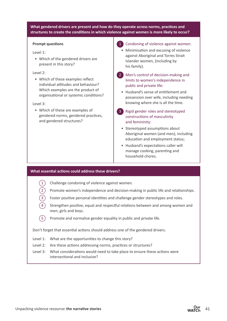#### **What gendered drivers are present and how do they operate across norms, practices and structures to create the conditions in which violence against women is more likely to occur?**

#### **Prompt questions**

#### Level 1:

• Which of the gendered drivers are present in this story?

#### Level 2:

• Which of these examples reflect individual attitudes and behaviour? Which examples are the product of organisational or systemic conditions?

#### Level 3:

• Which of these are examples of gendered norms, gendered practices, and gendered structures?

#### 1 Condoning of violence against women:

- Minimisation and excusing of violence against Aboriginal and Torres Strait Islander women, (including by his family).
- 2 Men's control of decision-making and limits to women's independence in public and private life:
	- Husband's sense of entitlement and possession over wife, including needing knowing where she is all the time.
- **3** Rigid gender roles and stereotyped constructions of masculinity and femininity:
	- Stereotyped assumptions about Aboriginal women (and men), including education and employment status;
	- Husband's expectations caller will manage cooking, parenting and household chores.

#### **What essential actions could address these drivers?**

- Challenge condoning of violence against women.
- 2 Promote women's independence and decision-making in public life and relationships.
- Foster positive personal identities and challenge gender stereotypes and roles.
- Strengthen positive, equal and respectful relations between and among women and men, girls and boys.
- $(5)$  Promote and normalise gender equality in public and private life.

Don't forget that essential actions should address one of the gendered drivers.

- Level 1: What are the opportunities to change this story?
- Level 2: Are these actions addressing norms, practices or structures?
- Level 3: What considerations would need to take place to ensure these actions were intersectional and inclusive?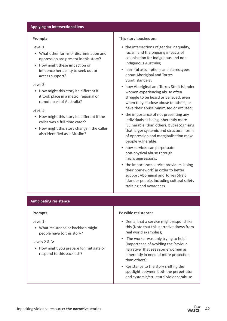#### **Applying an intersectional lens**

#### **Prompts**

Level 1:

- What other forms of discrimination and oppression are present in this story?
- How might these impact on or influence her ability to seek out or access support?

#### Level 2:

• How might this story be different if it took place in a metro, regional or remote part of Australia?

#### Level 3:

- How might this story be different if the caller was a full-time carer?
- How might this story change if the caller also identified as a Muslim?

#### This story touches on:

- the intersections of gender inequality, racism and the ongoing impacts of colonisation for Indigenous and non-Indigenous Australia;
- harmful assumptions and stereotypes about Aboriginal and Torres Strait Islanders;
- how Aboriginal and Torres Strait Islander women experiencing abuse often struggle to be heard or believed, even when they disclose abuse to others, or have their abuse minimised or excused;
- the importance of not presenting any individuals as being inherently more 'vulnerable' than others, but recognising that larger systemic and structural forms of oppression and marginalisation make people vulnerable;
- how services can perpetuate non-physical abuse through micro aggressions;
- the importance service providers 'doing their homework' in order to better support Aboriginal and Torres Strait Islander people, including cultural safety training and awareness.

#### **Anticipating resistance**

#### **Prompts**

#### Level 1:

• What resistance or backlash might people have to this story?

#### Levels 2 & 3:

• How might you prepare for, mitigate or respond to this backlash?

#### **Possible resistance:**

- Denial that a service might respond like this (Note that this narrative draws from real world examples);
- 'The worker was only trying to help' (Importance of avoiding the 'saviour narrative' that sees some women as inherently in need of more protection than others);
- Resistance to the story shifting the spotlight between both the perpetrator and systemic/structural violence/abuse.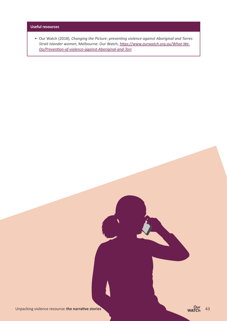#### **Useful resources**

• Our Watch (2018), *Changing the Picture: preventing violence against Aboriginal and Torres Strait Islander women*, Melbourne: Our Watch, *[https://www.ourwatch.org.au/What-We-](https://www.ourwatch.org.au/What-We-Do/Prevention-of-violence-against-Aboriginal-and-Torr)[Do/Prevention-of-violence-against-Aboriginal-and-Torr](https://www.ourwatch.org.au/What-We-Do/Prevention-of-violence-against-Aboriginal-and-Torr).*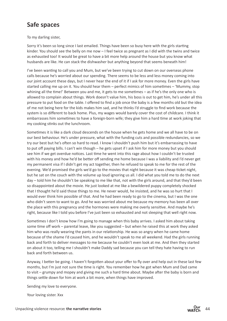## **Safe spaces**

#### To my darling sister,

Sorry it's been so long since I last emailed. Things have been so busy here with the girls starting kinder. You should see the belly on me now – I feel twice as pregnant as I did with the twins and twice as exhausted too! It would be great to have a bit more help around the house but you know what husbands are like. He can stack the dishwasher but anything beyond that seems beneath him!

I've been wanting to call you and Mum, but we've been trying to cut down on our overseas phone calls because he's worried about our spending. There seems to be less and less money coming into our joint account these days, but I never hear the end of it if I ask for more money. Even the girls have started calling me up on it. You should hear them – perfect mimics of him sometimes – 'Mummy, stop whining all the time!' Between you and me, it gets to me sometimes – as if he's the only one who is allowed to complain about things. Work doesn't value him, his boss is out to get him, he's under all this pressure to put food on the table. I offered to find a job once the baby is a few months old but the idea of me not being here for the kids makes him sad, and he thinks I'd struggle to find work because the system is so different to back home. Plus, my wages would barely cover the cost of childcare. I think it embarrasses him sometimes to have a foreign-born wife; they give him a hard time at work joking that my cooking stinks out the lunchroom.

Sometimes it is like a dark cloud descends on the house when he gets home and we all have to be on our best behaviour. He's under pressure, what with the funding cuts and possible redundancies, so we try our best but he's often so hard to read. I know I shouldn't push him but it's embarrassing to have to put off paying bills. I can't win though – he gets upset if I ask him for more money but you should see him if we get overdue notices. Last time he went into this rage about how I couldn't be trusted with his money and how he'd be better off sending me home because I was a liability and I'd never get my permanent visa if I didn't get my act together, then he refused to speak to me for the rest of the evening. We'd promised the girls we'd go to the movies that night because it was cheap ticket night, but he sat on the couch with the volume up loud ignoring us all. I did what you told me to do the next day – told him he shouldn't be speaking to me like that, not with the girls around, and that they'd been so disappointed about the movie. He just looked at me like a bewildered puppy completely shocked that I thought he'd said those things to me. He never would, he insisted, and he was so hurt that I would ever think him possible of that. And he had been ready to go to the cinema, but I was the one who didn't seem to want to go. And he was worried about me because my memory has been all over the place with this pregnancy and the hormones were making me overly sensitive. And maybe he's right, because like I told you before I've just been so exhausted and not sleeping that well right now.

Sometimes I don't know how I'm going to manage when this baby arrives. I asked him about taking some time off work – parental leave, like you suggested – but when he raised this at work they asked him who was really wearing the pants in our relationship. He was so angry when he came home because of the shame I'd caused him, and he wouldn't speak to me all weekend. Had the girls running back and forth to deliver messages to me because he couldn't even look at me. And then they started on about it too, telling me I shouldn't make Daddy sad because you can tell they hate having to run back and forth between us.

Anyway, I better be going. I haven't forgotten about your offer to fly over and help out in these last few months, but I'm just not sure the time is right. You remember how he got when Mum and Dad came to visit – grumpy and mopey and giving me such a hard time about. Maybe after the baby is born and things settle down for him at work a bit more, when things have improved.

Sending my love to everyone.

Your loving sister. Xxx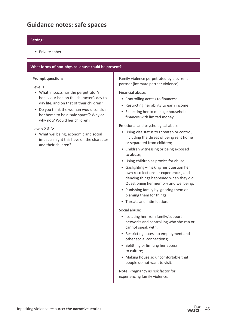## **Guidance notes: safe spaces**

#### **Setting:**

• Private sphere.

#### **What forms of non-physical abuse could be present?**

#### **Prompt questions**

Level 1:

- What impacts has the perpetrator's behaviour had on the character's day to day life, and on that of their children?
- Do you think the woman would consider her home to be a 'safe space'? Why or why not? Would her children?

Levels 2 & 3:

• What wellbeing, economic and social impacts might this have on the character and their children?

Family violence perpetrated by a current partner (intimate partner violence).

Financial abuse:

- Controlling access to finances;
- Restricting her ability to earn income;
- Expecting her to manage household finances with limited money.

Emotional and psychological abuse:

- Using visa status to threaten or control, including the threat of being sent home or separated from children;
- Children witnessing or being exposed to abuse;
- Using children as proxies for abuse;
- Gaslighting making her question her own recollections or experiences, and denying things happened when they did. Questioning her memory and wellbeing;
- Punishing family by ignoring them or blaming them for things;
- Threats and intimidation.

Social abuse:

- Isolating her from family/support networks and controlling who she can or cannot speak with;
- Restricting access to employment and other social connections;
- Belittling or limiting her access to culture;
- Making house so uncomfortable that people do not want to visit.

Note: Pregnancy as risk factor for experiencing family violence.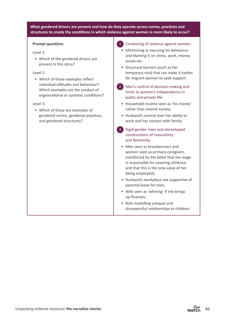#### **What gendered drivers are present and how do they operate across norms, practices and structures to create the conditions in which violence against women is more likely to occur?**

#### **Prompt questions**

#### Level 1:

• Which of the gendered drivers are present in this story?

#### Level 2:

• Which of these examples reflect individual attitudes and behaviour? Which examples are the product of organisational or systemic conditions?

#### Level 3:

• Which of these are examples of gendered norms, gendered practices, and gendered structures?

#### 1 Condoning of violence against women:

- Minimising or excusing his behaviour and blaming it on stress, work, money issues etc.
- Structural barriers (such as her temporary visa) that can make it harder for migrant women to seek support.
- 2 Men's control of decision-making and limits to women's independence in public and private life:
	- Household income seen as 'his money' rather than shared money;
	- Husband's control over her ability to work and her contact with family.
- 3 Rigid gender roles and stereotyped constructions of masculinity and femininity:
	- Men seen as breadwinners and women seen as primary caregivers (reinforced by the belief that her wage is responsible for covering childcare and that this is the only value of her being employed);
	- Husband's workplace not supportive of parental leave for men;
	- Wife seen as 'whining' if she brings up finances;
	- Role modelling unequal and disrespectful relationships to children.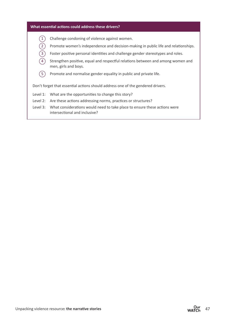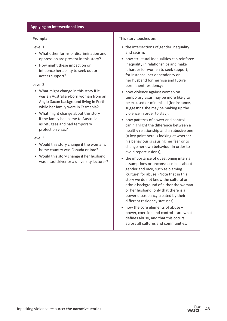#### **Applying an intersectional lens**

#### **Prompts**

Level 1:

- What other forms of discrimination and oppression are present in this story?
- How might these impact on or influence her ability to seek out or access support?

#### Level 2:

- What might change in this story if it was an Australian-born woman from an Anglo-Saxon background living in Perth while her family were in Tasmania?
- What might change about this story if the family had come to Australia as refugees and had temporary protection visas?

#### Level 3:

- Would this story change if the woman's home country was Canada or Iraq?
- Would this story change if her husband was a taxi driver or a university lecturer?

#### This story touches on:

- the intersections of gender inequality and racism;
- how structural inequalities can reinforce inequality in relationships and make it harder for women to seek support, for instance, her dependency on her husband for her visa and future permanent residency;
- how violence against women on temporary visas may be more likely to be excused or minimised (for instance, suggesting she may be making up the violence in order to stay);
- how patterns of power and control can highlight the difference between a healthy relationship and an abusive one (A key point here is looking at whether his behaviour is causing her fear or to change her own behaviour in order to avoid repercussions);
- the importance of questioning internal assumptions or unconscious bias about gender and race, such as blaming 'culture' for abuse. (Note that in this story we do not know the cultural or ethnic background of either the woman or her husband, only that there is a power discrepancy created by their different residency statuses);
- how the core elements of abuse power, coercion and control – are what defines abuse, and that this occurs across all cultures and communities.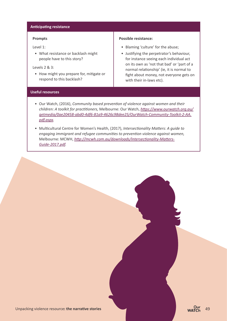#### **Anticipating resistance**

#### **Prompts**

Level 1:

• What resistance or backlash might people have to this story?

#### Levels 2 & 3:

• How might you prepare for, mitigate or respond to this backlash?

#### **Possible resistance:**

- Blaming 'culture' for the abuse;
- Justifying the perpetrator's behaviour, for instance seeing each individual act on its own as 'not that bad' or 'part of a normal relationship' (ie, it is normal to fight about money, not everyone gets on with their in-laws etc).

#### **Useful resources**

- Our Watch, (2016), *Community based prevention of violence against women and their children: A toolkit for practitioners,* Melbourne: Our Watch, *[https://www.ourwatch.org.au/](https://www.ourwatch.org.au/getmedia/0ae20458-abd0-4df6-81a9-4626c98dee25/OurWatch-Community-Toolkit-2-AA.pdf.aspx) [getmedia/0ae20458-abd0-4df6-81a9-4626c98dee25/OurWatch-Community-Toolkit-2-AA.](https://www.ourwatch.org.au/getmedia/0ae20458-abd0-4df6-81a9-4626c98dee25/OurWatch-Community-Toolkit-2-AA.pdf.aspx) [pdf.aspx.](https://www.ourwatch.org.au/getmedia/0ae20458-abd0-4df6-81a9-4626c98dee25/OurWatch-Community-Toolkit-2-AA.pdf.aspx)*
- Multicultural Centre for Women's Health, (2017), *Intersectionality Matters: A guide to engaging immigrant and refugee communities to prevention violence against women,*  Melbourne: MCWH, *[http://mcwh.com.au/downloads/Intersectionality-Matters-](http://mcwh.com.au/downloads/Intersectionality-Matters-Guide-2017.pdf)[Guide-2017.pdf](http://mcwh.com.au/downloads/Intersectionality-Matters-Guide-2017.pdf).*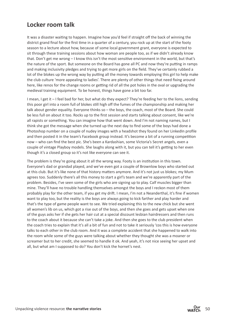## **Locker room talk**

It was a disaster waiting to happen. Imagine how you'd feel if straight off the back of winning the district grand final for the first time in a quarter of a century, you rock up at the start of the footy season to a lecture about how, because of some local government grant, everyone is expected to sit through these training sessions about how woman are people too, as if we didn't already know that. Don't get me wrong – I know this isn't the most sensitive environment in the world, but that's the nature of the sport. But someone on the Board has gone all PC and now they're putting in ramps and making inclusivity pledges and trying to get more girls on the field. They've certainly rubbed a lot of the blokes up the wrong way by putting all the money towards employing this girl to help make the club culture 'more appealing to ladies'. There are plenty of other things that need fixing around here, like renos for the change rooms or getting rid of all the pot holes in the oval or upgrading the medieval training equipment. To be honest, things have gone a bit too far.

I mean, I get it – I feel bad for her, but what do they expect? They're feeding her to the lions, sending this poor girl into a room full of blokes still high off the fumes of the championship and making her talk about gender equality. Everyone thinks so – the boys, the coach, most of the Board. She could be less full on about it too. Rocks up to the first session and starts talking about consent, like we're all rapists or something. You can imagine how that went down. And I'm not naming names, but I think she got the message when she turned up the next day to find some of the boys had done a Photoshop number on a couple of nudey images with a headshot they found on her LinkedIn profile and then posted it in the team's Facebook group instead. It's become a bit of a running competition now – who can find the best pic. She's been a Kardashian, some Victoria's Secret angels, even a couple of vintage Playboy models. She laughs along with it, but you can tell it's getting to her even though it's a closed group so it's not like everyone can see it.

The problem is they're going about it all the wrong way. Footy is an institution in this town. Everyone's dad or grandad played, and we've even got a couple of Brownlow boys who started out at this club. But it's like none of that history matters anymore. And it's not just us blokes; my Mum agrees too. Suddenly there's all this money to start a girl's team and we're apparently part of the problem. Besides, I've seen some of the girls who are signing up to play. Calf muscles bigger than mine. They'll have no trouble handling themselves amongst the boys and I reckon most of them probably play for the other team, if you get my drift. I mean, I'm not a Neanderthal, it's fine if women want to play too, but the reality is the boys are always going to kick farther and play harder and that's the type of game people want to see. We tried explaining this to the new chick but she went all women's lib on us, which got a rise out of the boys, and then she goes and gets upset when one of the guys asks her if she gets her hair cut at a special discount lesbian hairdressers and then runs to the coach about it because she can't take a joke. And then she goes to the club president when the coach tries to explain that it's all a bit of fun and not to take it seriously 'cos this is how everyone talks to each other in the club room. And it was a complete accident that she happened to walk into the room while some of the guys were talking about whether they thought she was a moaner or screamer but to her credit, she seemed to handle it ok. And yeah, it's not nice seeing her upset and all, but what am I supposed to do? You don't kick the hornet's nest.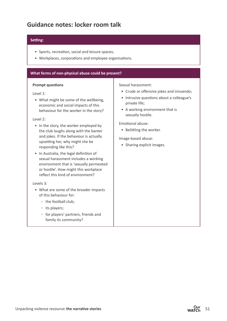## **Guidance notes: locker room talk**

#### **Setting:**

- Sports, recreation, social and leisure spaces;
- Workplaces, corporations and employee organisations.

#### **What forms of non-physical abuse could be present?**

#### **Prompt questions**

Level 1:

• What might be some of the wellbeing, economic and social impacts of this behaviour for the worker in the story?

#### Level 2:

- In the story, the worker employed by the club laughs along with the banter and jokes. If the behaviour is actually upsetting her, why might she be responding like this?
- In Australia, the legal definition of sexual harassment includes a working environment that is 'sexually permeated or hostile'. How might this workplace reflect this kind of environment?

#### Levels 3:

- What are some of the broader impacts of this behaviour for:
	- the football club;
	- its players;
	- for players' partners, friends and family its community?

Sexual harassment:

- Crude or offensive jokes and innuendo;
- Intrusive questions about a colleague's private life;
- A working environment that is sexually hostile.

Emotional abuse:

• Belittling the worker.

Image-based abuse:

• Sharing explicit images.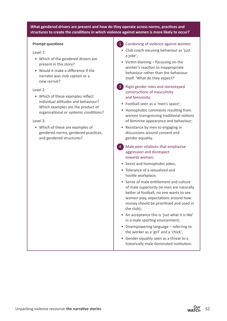#### **What gendered drivers are present and how do they operate across norms, practices and structures to create the conditions in which violence against women is more likely to occur?**

#### **Prompt questions**

#### Level 1:

- Which of the gendered drivers are present in this story?
- Would it make a difference if the narrator was club captain or a new recruit?

#### Level 2:

• Which of these examples reflect individual attitudes and behaviour? Which examples are the product of organisational or systemic conditions?

#### Level 3:

• Which of these are examples of gendered norms, gendered practices, and gendered structures?

#### 1 Condoning of violence against women:

- Club coach excusing behaviour as 'just a joke';
- Victim-blaming focussing on the worker's reaction to inappropriate behaviour rather than the behaviour itself. 'What do they expect?'
- 3 Rigid gender roles and stereotyped constructions of masculinity and femininity:
	- Football seen as a 'men's space';
	- Homophobic comments resulting from women transgressing traditional notions of feminine appearance and behaviour;
	- Resistance by men to engaging in discussions around consent and gender equality.
- 4 Male peer relations that emphasise aggression and disrespect towards women;
	- Sexist and homophobic jokes;
	- Tolerance of a sexualised and hostile workplace;
	- Sense of male entitlement and culture of male superiority (ie men are naturally better at football, no one wants to see women play, expectations around how money should be prioritised and used in the club);
	- An acceptance this is 'just what it is like' in a male sporting environment;
	- Disempowering language referring to the worker as a 'girl' and a 'chick';
	- Gender equality seen as a threat to a historically male dominated institution.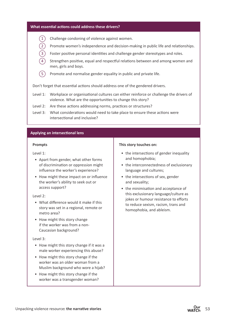#### **What essential actions could address these drivers?**

- $(1)$  Challenge condoning of violence against women.
- 2 Promote women's independence and decision-making in public life and relationships.
	- Foster positive personal identities and challenge gender stereotypes and roles.
	- Strengthen positive, equal and respectful relations between and among women and men, girls and boys.
- $(5)$  Promote and normalise gender equality in public and private life.

Don't forget that essential actions should address one of the gendered drivers.

- Level 1: Workplace or organisational cultures can either reinforce or challenge the drivers of violence. What are the opportunities to change this story?
- Level 2: Are these actions addressing norms, practices or structures?
- Level 3: What considerations would need to take place to ensure these actions were intersectional and inclusive?

#### **Applying an intersectional lens**

#### **Prompts**

Level 1:

- Apart from gender, what other forms of discrimination or oppression might influence the worker's experience?
- How might these impact on or influence the worker's ability to seek out or access support?

#### Level 2:

- What difference would it make if this story was set in a regional, remote or metro area?
- How might this story change if the worker was from a non-Caucasian background?

#### Level 3:

- How might this story change if it was a male worker experiencing this abuse?
- How might this story change if the worker was an older woman from a Muslim background who wore a hijab?
- How might this story change if the worker was a transgender woman?

#### **This story touches on:**

- the intersections of gender inequality and homophobia;
- the interconnectedness of exclusionary language and cultures;
- the intersections of sex, gender and sexuality;
- the minimisation and acceptance of this exclusionary language/culture as jokes or humour resistance to efforts to reduce sexism, racism, trans and homophobia, and ableism.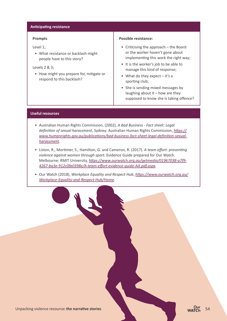#### **Anticipating resistance**

#### **Prompts**

Level 1;

• What resistance or backlash might people have to this story?

#### Levels 2 & 3;

• How might you prepare for, mitigate or respond to this backlash?

#### **Possible resistance:**

- Criticising the approach the Board or the worker haven't gone about implementing this work the right way;
- It is the worker's job to be able to manage this kind of response;
- What do they expect it's a sporting club;
- She is sending mixed messages by laughing about it  $-$  how are they supposed to know she is taking offence?

#### **Useful resources**

- Australian Human Rights Commission, (2002), *A Bad Business Fact sheet: Legal definition of sexual harassment*, Sydney: Australian Human Rights Commission, *[https://](https://www.humanrights.gov.au/publications/bad-business-fact-sheet-legal-definition-sexual-harassment ) [www.humanrights.gov.au/publications/bad-business-fact-sheet-legal-definition-sexual](https://www.humanrights.gov.au/publications/bad-business-fact-sheet-legal-definition-sexual-harassment )[harassment](https://www.humanrights.gov.au/publications/bad-business-fact-sheet-legal-definition-sexual-harassment ).*
- Liston, R., Mortimer, S., Hamilton, G. and Cameron, R. (2017). *A team effort: preventing violence against women through sport.* Evidence Guide prepared for Our Watch. Melbourne: RMIT University, *[https://www.ourwatch.org.au/getmedia/01967038-a7f9-](https://www.ourwatch.org.au/getmedia/01967038-a7f9-4267-ba3e-912c0fa0398e/A-team-effort-evidence-guide-AA.pdf.aspx) [4267-ba3e-912c0fa0398e/A-team-effort-evidence-guide-AA.pdf.aspx](https://www.ourwatch.org.au/getmedia/01967038-a7f9-4267-ba3e-912c0fa0398e/A-team-effort-evidence-guide-AA.pdf.aspx).*
- Our Watch (2018), *Workplace Equality and Respect Hub*, *[https://www.ourwatch.org.au/](https://www.ourwatch.org.au/Workplace-Equality-and-Respect-Hub/Home) [Workplace-Equality-and-Respect-Hub/Home](https://www.ourwatch.org.au/Workplace-Equality-and-Respect-Hub/Home).*

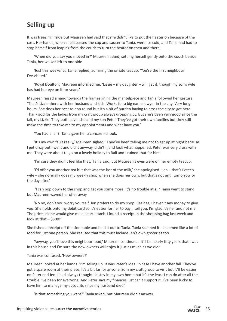## **Selling up**

It was freezing inside but Maureen had said that she didn't like to put the heater on because of the cost. Her hands, when she'd passed the cup and saucer to Tania, were ice cold, and Tania had had to stop herself from leaping from the couch to turn the heater on then and there.

'When did you say you moved in?' Maureen asked, settling herself gently onto the couch beside Tania, her walker left to one side.

'Just this weekend,' Tania replied, admiring the ornate teacup. 'You're the first neighbour I've visited.'

'Royal Doulton,' Maureen informed her. 'Lizzie – my daughter – will get it, though my son's wife has had her eye on it for years.'

Maureen raised a hand towards the frames lining the mantelpiece and Tania followed her gesture. 'That's Lizzie there with her husband and kids. Works for a big name lawyer in the city. Very long hours. She does her best to pop round but it's a bit of burden having to cross the city to get here. Thank god for the ladies from my craft group always dropping by. But she's been very good since the fall, my Lizzie. They both have, she and my son Peter. They've got their own families but they still make the time to take me to my appointments and what have you.'

'You had a fall?' Tania gave her a concerned look.

'It's my own fault really,' Maureen sighed. 'They've been telling me not to get up at night because I get dizzy but I went and did it anyway, didn't I, and look what happened. Peter was very cross with me. They were about to go on a lovely holiday to Bali and I ruined that for him.'

'I'm sure they didn't feel like that,' Tania said, but Maureen's eyes were on her empty teacup.

'I'd offer you another tea but that was the last of the milk,' she apologised. 'Jen – that's Peter's wife – she normally does my weekly shop when she does her own, but that's not until tomorrow or the day after.'

 'I can pop down to the shop and get you some more. It's no trouble at all.' Tania went to stand but Maureen waved her offer away.

'No no, don't you worry yourself. Jen prefers to do my shop. Besides, I haven't any money to give you. She holds onto my debit card so it's easier for her to pay. I tell you, I'm glad it's her and not me. The prices alone would give me a heart attack. I found a receipt in the shopping bag last week and look at that - \$300!'

She fished a receipt off the side table and held it out to Tania. Tania scanned it. It seemed like a lot of food for just one person. She realised that this must include Jen's own groceries too.

'Anyway, you'll love this neighbourhood,' Maureen continued. 'It'll be nearly fifty years that I was in this house and I'm sure the new owners will enjoy it just as much as we did.'

#### Tania was confused. 'New owners?'

Maureen looked at her hands. 'I'm selling up. It was Peter's idea. In case I have another fall. They've got a spare room at their place. It's a bit far for anyone from my craft group to visit but it'll be easier on Peter and Jen. I had always thought I'd stay in my own home but it's the least I can do after all the trouble I've been for everyone. And Peter says my finances just can't support it. I've been lucky to have him to manage my accounts since my husband died.'

'Is that something you want?' Tania asked, but Maureen didn't answer.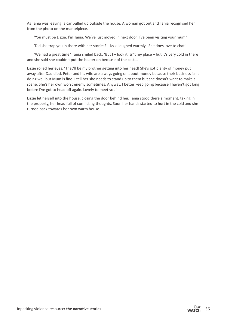As Tania was leaving, a car pulled up outside the house. A woman got out and Tania recognised her from the photo on the mantelpiece.

'You must be Lizzie. I'm Tania. We've just moved in next door. I've been visiting your mum.'

'Did she trap you in there with her stories?' Lizzie laughed warmly. 'She does love to chat.'

'We had a great time,' Tania smiled back. 'But I – look it isn't my place – but it's very cold in there and she said she couldn't put the heater on because of the cost...'

Lizzie rolled her eyes. 'That'll be my brother getting into her head! She's got plenty of money put away after Dad died. Peter and his wife are always going on about money because their business isn't doing well but Mum is fine. I tell her she needs to stand up to them but she doesn't want to make a scene. She's her own worst enemy sometimes. Anyway, I better keep going because I haven't got long before I've got to head off again. Lovely to meet you.'

Lizzie let herself into the house, closing the door behind her. Tania stood there a moment, taking in the property, her head full of conflicting thoughts. Soon her hands started to hurt in the cold and she turned back towards her own warm house.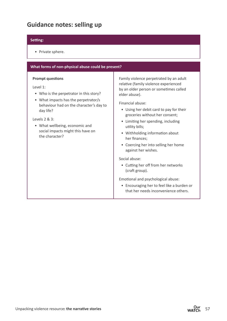## **Guidance notes: selling up**

#### **Setting:**

• Private sphere.

#### **What forms of non-physical abuse could be present? Prompt questions**  Level 1: • Who is the perpetrator in this story? • What impacts has the perpetrator/s behaviour had on the character's day to day life? Levels 2 & 3: • What wellbeing, economic and social impacts might this have on the character? Family violence perpetrated by an adult relative (family violence experienced by an older person or sometimes called elder abuse). Financial abuse: • Using her debit card to pay for their groceries without her consent; • Limiting her spending, including utility bills;

• Withholding information about her finances;

• Coercing her into selling her home against her wishes.

#### Social abuse:

• Cutting her off from her networks (craft group).

Emotional and psychological abuse:

• Encouraging her to feel like a burden or that her needs inconvenience others.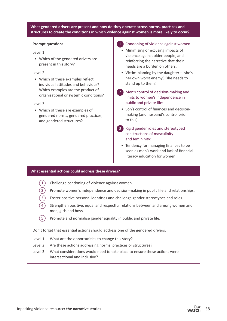#### **What gendered drivers are present and how do they operate across norms, practices and structures to create the conditions in which violence against women is more likely to occur?**

#### **Prompt questions**

#### Level 1:

• Which of the gendered drivers are present in this story?

#### Level 2:

• Which of these examples reflect individual attitudes and behaviour? Which examples are the product of organisational or systemic conditions?

#### Level 3:

• Which of these are examples of gendered norms, gendered practices, and gendered structures?

#### 1 Condoning of violence against women:

- Minimising or excusing impacts of violence against older people, and reinforcing the narrative that their needs are a burden on others;
- Victim-blaming by the daughter 'she's her own worst enemy', 'she needs to stand up to them'.
- 2 Men's control of decision-making and limits to women's independence in public and private life:
	- Son's control of finances and decisionmaking (and husband's control prior to this).
- 3 Rigid gender roles and stereotyped constructions of masculinity and femininity:
	- Tendency for managing finances to be seen as men's work and lack of financial literacy education for women.

#### **What essential actions could address these drivers?**

- Challenge condoning of violence against women.
- 2 Promote women's independence and decision-making in public life and relationships.
- Foster positive personal identities and challenge gender stereotypes and roles.
- Strengthen positive, equal and respectful relations between and among women and men, girls and boys.
- $(5)$  Promote and normalise gender equality in public and private life.

Don't forget that essential actions should address one of the gendered drivers.

- Level 1: What are the opportunities to change this story?
- Level 2: Are these actions addressing norms, practices or structures?
- Level 3: What considerations would need to take place to ensure these actions were intersectional and inclusive?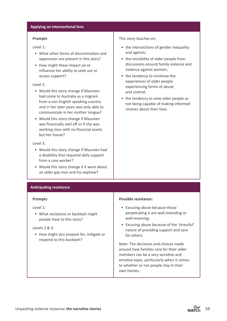#### **Applying an intersectional lens**

#### **Prompts**

Level 1:

- What other forms of discrimination and oppression are present in this story?
- How might these impact on or influence her ability to seek out or access support?

#### Level 2:

- Would this story change if Maureen had come to Australia as a migrant from a non-English speaking country and in her later years was only able to communicate in her mother tongue?
- Would this story change if Maureen was financially well off or if she was working class with no financial assets but her house?

Level 3:

- Would this story change if Maureen had a disability that required daily support from a care worker?
- Would this story change if it were about an older gay man and his nephew?

#### • the invisibility of older people from discussions around family violence and

violence against women; • the tendency to minimise the experiences of older people experiencing forms of abuse and control;

This story touches on:

and ageism;

• the tendency to view older people as not being capable of making informed choices about their lives.

• the intersections of gender inequality

#### **Anticipating resistance**

#### **Prompts**

Level 1:

• What resistance or backlash might people have to this story?

#### Levels 2 & 3:

• How might you prepare for, mitigate or respond to this backlash?

#### **Possible resistance:**

- Excusing abuse because those perpetrating it are well-intending or well-meaning;
- Excusing abuse because of the 'stressful' nature of providing support and care for others.

Note: The decisions and choices made around how families care for their older members can be a very sensitive and emotive topic, particularly when it comes to whether or not people stay in their own homes.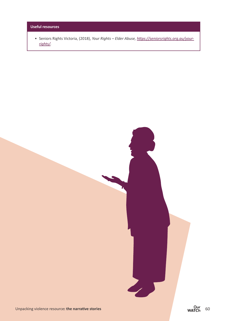#### **Useful resources**

• Seniors Rights Victoria, (2018), *Your Rights – Elder Abuse, [https://seniorsrights.org.au/your](https://seniorsrights.org.au/your-rights/)[rights/](https://seniorsrights.org.au/your-rights/).*



 $\sum$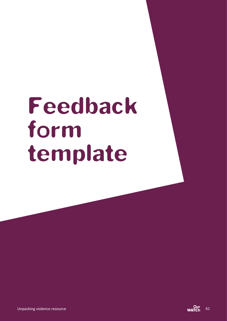# Feedback form template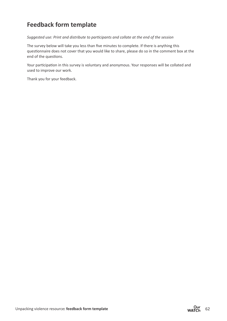## **Feedback form template**

*Suggested use: Print and distribute to participants and collate at the end of the session*

The survey below will take you less than five minutes to complete. If there is anything this questionnaire does not cover that you would like to share, please do so in the comment box at the end of the questions.

Your participation in this survey is voluntary and anonymous. Your responses will be collated and used to improve our work.

Thank you for your feedback.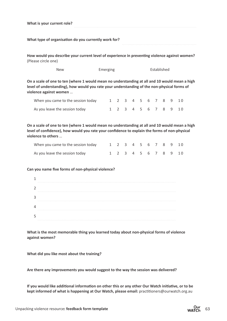| What is your current role?                                                                                                                                                                                             |          |   |                |                |             |     |   |                |   |   |    |  |
|------------------------------------------------------------------------------------------------------------------------------------------------------------------------------------------------------------------------|----------|---|----------------|----------------|-------------|-----|---|----------------|---|---|----|--|
| What type of organisation do you currently work for?                                                                                                                                                                   |          |   |                |                |             |     |   |                |   |   |    |  |
| How would you describe your current level of experience in preventing violence against women?<br>(Please circle one)                                                                                                   |          |   |                |                |             |     |   |                |   |   |    |  |
| <b>New</b>                                                                                                                                                                                                             | Emerging |   |                |                | Established |     |   |                |   |   |    |  |
| On a scale of one to ten (where 1 would mean no understanding at all and 10 would mean a high<br>level of understanding), how would you rate your understanding of the non-physical forms of<br>violence against women |          |   |                |                |             |     |   |                |   |   |    |  |
| When you came to the session today 1 2 3 4 5 6 7 8                                                                                                                                                                     |          |   |                |                |             |     |   |                |   | 9 | 10 |  |
| As you leave the session today                                                                                                                                                                                         |          | 1 |                | 2 3 4 5 6 7    |             |     |   |                | 8 | 9 | 10 |  |
| On a scale of one to ten (where 1 would mean no understanding at all and 10 would mean a high<br>level of confidence), how would you rate your confidence to explain the forms of non-physical<br>violence to others   |          |   |                |                |             |     |   |                |   |   |    |  |
| When you came to the session today 1 2 3 4 5 6 7 8                                                                                                                                                                     |          |   |                |                |             |     |   |                |   | 9 | 10 |  |
| As you leave the session today                                                                                                                                                                                         |          | 1 | $\overline{2}$ | 3 <sup>7</sup> |             | 4 5 | 6 | $\overline{7}$ | 8 | 9 | 10 |  |
| Can you name five forms of non-physical violence?<br>1                                                                                                                                                                 |          |   |                |                |             |     |   |                |   |   |    |  |
| 2                                                                                                                                                                                                                      |          |   |                |                |             |     |   |                |   |   |    |  |
| 3                                                                                                                                                                                                                      |          |   |                |                |             |     |   |                |   |   |    |  |
| 4                                                                                                                                                                                                                      |          |   |                |                |             |     |   |                |   |   |    |  |
| 5                                                                                                                                                                                                                      |          |   |                |                |             |     |   |                |   |   |    |  |
| What is the most memorable thing you learned today about non-physical forms of violence<br>against women?                                                                                                              |          |   |                |                |             |     |   |                |   |   |    |  |
| What did you like most about the training?                                                                                                                                                                             |          |   |                |                |             |     |   |                |   |   |    |  |
| Are there any improvements you would suggest to the way the session was delivered?                                                                                                                                     |          |   |                |                |             |     |   |                |   |   |    |  |

**If you would like additional information on other this or any other Our Watch initiative, or to be kept informed of what is happening at Our Watch, please email:** practitioners@ourwatch.org.au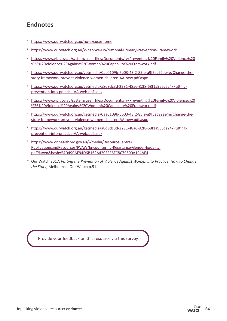## **Endnotes**

- <sup>1</sup> <https://www.ourwatch.org.au/no-excuse/home>
- <sup>2</sup> <https://www.ourwatch.org.au/What-We-Do/National-Primary-Prevention-Framework>
- <sup>3</sup> [https://www.vic.gov.au/system/user\\_files/Documents/fv/Preventing%20Family%20Violence%20](https://www.vic.gov.au/system/user_files/Documents/fv/Preventing%20Family%20Violence%20%26%20Violence%20Against%20Women%20Capability%20Framwork.pdf) [%26%20Violence%20Against%20Women%20Capability%20Framwork.pdf](https://www.vic.gov.au/system/user_files/Documents/fv/Preventing%20Family%20Violence%20%26%20Violence%20Against%20Women%20Capability%20Framwork.pdf)
- <sup>4</sup> [https://www.ourwatch.org.au/getmedia/0aa0109b-6b03-43f2-85fe-a9f5ec92ae4e/Change-the](https://www.ourwatch.org.au/getmedia/0aa0109b-6b03-43f2-85fe-a9f5ec92ae4e/Change-the-story-framework-prevent-violence-women-children-AA-new.pdf.aspx)[story-framework-prevent-violence-women-children-AA-new.pdf.aspx](https://www.ourwatch.org.au/getmedia/0aa0109b-6b03-43f2-85fe-a9f5ec92ae4e/Change-the-story-framework-prevent-violence-women-children-AA-new.pdf.aspx)
- <sup>5</sup> [https://www.ourwatch.org.au/getmedia/a8d9dc3d-2291-48a6-82f8-68f1a955ce24/Putting](https://www.ourwatch.org.au/getmedia/a8d9dc3d-2291-48a6-82f8-68f1a955ce24/Putting-prevention-into-practice-AA-web.pdf.aspx)[prevention-into-practice-AA-web.pdf.aspx](https://www.ourwatch.org.au/getmedia/a8d9dc3d-2291-48a6-82f8-68f1a955ce24/Putting-prevention-into-practice-AA-web.pdf.aspx)
- <sup>6</sup> [https://www.vic.gov.au/system/user\\_files/Documents/fv/Preventing%20Family%20Violence%20](https://www.vic.gov.au/system/user_files/Documents/fv/Preventing%20Family%20Violence%20%26%20Violence%20Against%20Women%20Capability%20Framwork.pdf) [%26%20Violence%20Against%20Women%20Capability%20Framwork.pdf](https://www.vic.gov.au/system/user_files/Documents/fv/Preventing%20Family%20Violence%20%26%20Violence%20Against%20Women%20Capability%20Framwork.pdf)
- <sup>7</sup> [https://www.ourwatch.org.au/getmedia/0aa0109b-6b03-43f2-85fe-a9f5ec92ae4e/Change-the](https://www.ourwatch.org.au/getmedia/0aa0109b-6b03-43f2-85fe-a9f5ec92ae4e/Change-the-story-framework-prevent-violence-women-children-AA-new.pdf.aspx)[story-framework-prevent-violence-women-children-AA-new.pdf.aspx](https://www.ourwatch.org.au/getmedia/0aa0109b-6b03-43f2-85fe-a9f5ec92ae4e/Change-the-story-framework-prevent-violence-women-children-AA-new.pdf.aspx)
- <sup>8</sup> [https://www.ourwatch.org.au/getmedia/a8d9dc3d-2291-48a6-82f8-68f1a955ce24/Putting](https://www.ourwatch.org.au/getmedia/a8d9dc3d-2291-48a6-82f8-68f1a955ce24/Putting-prevention-into-practice-AA-web.pdf.aspx)[prevention-into-practice-AA-web.pdf.aspx](https://www.ourwatch.org.au/getmedia/a8d9dc3d-2291-48a6-82f8-68f1a955ce24/Putting-prevention-into-practice-AA-web.pdf.aspx)
- <sup>9</sup> [https://www.vichealth.vic.gov.au/-/media/ResourceCentre/](https://www.vichealth.vic.gov.au/-/media/ResourceCentre/PublicationsandResources/PVAW/Encountering-Resistance-Gender-Equality.pdf?la=en&hash=54D49CAE94D6B162A42C3FE6FC8C79600A194AE4) [PublicationsandResources/PVAW/Encountering-Resistance-Gender-Equality.](https://www.vichealth.vic.gov.au/-/media/ResourceCentre/PublicationsandResources/PVAW/Encountering-Resistance-Gender-Equality.pdf?la=en&hash=54D49CAE94D6B162A42C3FE6FC8C79600A194AE4) [pdf?la=en&hash=54D49CAE94D6B162A42C3FE6FC8C79600A194AE4](https://www.vichealth.vic.gov.au/-/media/ResourceCentre/PublicationsandResources/PVAW/Encountering-Resistance-Gender-Equality.pdf?la=en&hash=54D49CAE94D6B162A42C3FE6FC8C79600A194AE4)
- <sup>10</sup> Our Watch 2017, *Putting the Prevention of Violence Against Women into Practice: How to Change the Story*, Melbourne: Our Watch p.51

Provide your feedback on this resource via this survey.